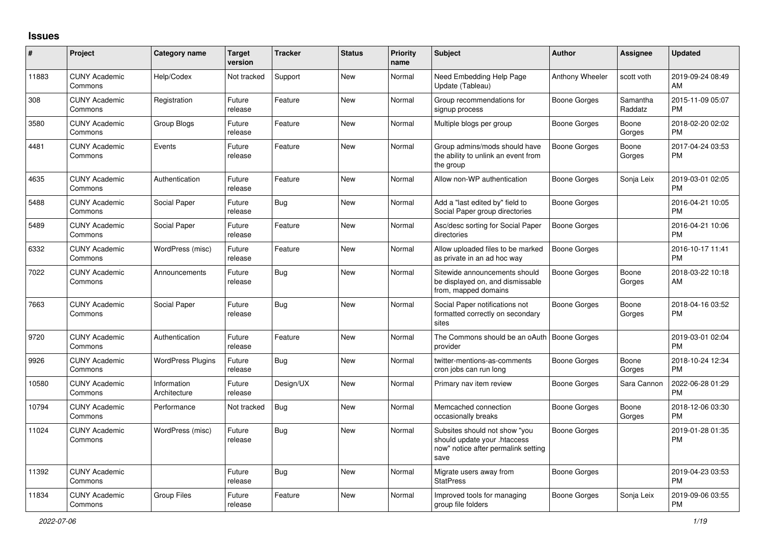## **Issues**

| #     | Project                         | Category name               | <b>Target</b><br>version | <b>Tracker</b> | <b>Status</b> | <b>Priority</b><br>name | Subject                                                                                                      | Author              | <b>Assignee</b>     | <b>Updated</b>                |
|-------|---------------------------------|-----------------------------|--------------------------|----------------|---------------|-------------------------|--------------------------------------------------------------------------------------------------------------|---------------------|---------------------|-------------------------------|
| 11883 | <b>CUNY Academic</b><br>Commons | Help/Codex                  | Not tracked              | Support        | New           | Normal                  | Need Embedding Help Page<br>Update (Tableau)                                                                 | Anthony Wheeler     | scott voth          | 2019-09-24 08:49<br>AM        |
| 308   | <b>CUNY Academic</b><br>Commons | Registration                | Future<br>release        | Feature        | New           | Normal                  | Group recommendations for<br>signup process                                                                  | Boone Gorges        | Samantha<br>Raddatz | 2015-11-09 05:07<br><b>PM</b> |
| 3580  | <b>CUNY Academic</b><br>Commons | Group Blogs                 | Future<br>release        | Feature        | New           | Normal                  | Multiple blogs per group                                                                                     | <b>Boone Gorges</b> | Boone<br>Gorges     | 2018-02-20 02:02<br>PM        |
| 4481  | <b>CUNY Academic</b><br>Commons | Events                      | Future<br>release        | Feature        | <b>New</b>    | Normal                  | Group admins/mods should have<br>the ability to unlink an event from<br>the group                            | Boone Gorges        | Boone<br>Gorges     | 2017-04-24 03:53<br><b>PM</b> |
| 4635  | <b>CUNY Academic</b><br>Commons | Authentication              | Future<br>release        | Feature        | New           | Normal                  | Allow non-WP authentication                                                                                  | Boone Gorges        | Sonja Leix          | 2019-03-01 02:05<br><b>PM</b> |
| 5488  | <b>CUNY Academic</b><br>Commons | Social Paper                | Future<br>release        | <b>Bug</b>     | New           | Normal                  | Add a "last edited by" field to<br>Social Paper group directories                                            | <b>Boone Gorges</b> |                     | 2016-04-21 10:05<br><b>PM</b> |
| 5489  | <b>CUNY Academic</b><br>Commons | Social Paper                | Future<br>release        | Feature        | New           | Normal                  | Asc/desc sorting for Social Paper<br>directories                                                             | Boone Gorges        |                     | 2016-04-21 10:06<br><b>PM</b> |
| 6332  | <b>CUNY Academic</b><br>Commons | WordPress (misc)            | Future<br>release        | Feature        | New           | Normal                  | Allow uploaded files to be marked<br>as private in an ad hoc way                                             | Boone Gorges        |                     | 2016-10-17 11:41<br><b>PM</b> |
| 7022  | <b>CUNY Academic</b><br>Commons | Announcements               | Future<br>release        | Bug            | New           | Normal                  | Sitewide announcements should<br>be displayed on, and dismissable<br>from, mapped domains                    | Boone Gorges        | Boone<br>Gorges     | 2018-03-22 10:18<br>AM        |
| 7663  | <b>CUNY Academic</b><br>Commons | Social Paper                | Future<br>release        | <b>Bug</b>     | New           | Normal                  | Social Paper notifications not<br>formatted correctly on secondary<br>sites                                  | <b>Boone Gorges</b> | Boone<br>Gorges     | 2018-04-16 03:52<br><b>PM</b> |
| 9720  | <b>CUNY Academic</b><br>Commons | Authentication              | Future<br>release        | Feature        | New           | Normal                  | The Commons should be an oAuth   Boone Gorges<br>provider                                                    |                     |                     | 2019-03-01 02:04<br><b>PM</b> |
| 9926  | <b>CUNY Academic</b><br>Commons | <b>WordPress Plugins</b>    | Future<br>release        | Bug            | New           | Normal                  | twitter-mentions-as-comments<br>cron jobs can run long                                                       | Boone Gorges        | Boone<br>Gorges     | 2018-10-24 12:34<br><b>PM</b> |
| 10580 | <b>CUNY Academic</b><br>Commons | Information<br>Architecture | Future<br>release        | Design/UX      | New           | Normal                  | Primary nav item review                                                                                      | Boone Gorges        | Sara Cannon         | 2022-06-28 01:29<br>PM        |
| 10794 | <b>CUNY Academic</b><br>Commons | Performance                 | Not tracked              | Bug            | New           | Normal                  | Memcached connection<br>occasionally breaks                                                                  | Boone Gorges        | Boone<br>Gorges     | 2018-12-06 03:30<br><b>PM</b> |
| 11024 | <b>CUNY Academic</b><br>Commons | WordPress (misc)            | Future<br>release        | <b>Bug</b>     | <b>New</b>    | Normal                  | Subsites should not show "you<br>should update your .htaccess<br>now" notice after permalink setting<br>save | <b>Boone Gorges</b> |                     | 2019-01-28 01:35<br><b>PM</b> |
| 11392 | <b>CUNY Academic</b><br>Commons |                             | Future<br>release        | Bug            | New           | Normal                  | Migrate users away from<br><b>StatPress</b>                                                                  | Boone Gorges        |                     | 2019-04-23 03:53<br><b>PM</b> |
| 11834 | <b>CUNY Academic</b><br>Commons | <b>Group Files</b>          | Future<br>release        | Feature        | <b>New</b>    | Normal                  | Improved tools for managing<br>group file folders                                                            | <b>Boone Gorges</b> | Sonja Leix          | 2019-09-06 03:55<br><b>PM</b> |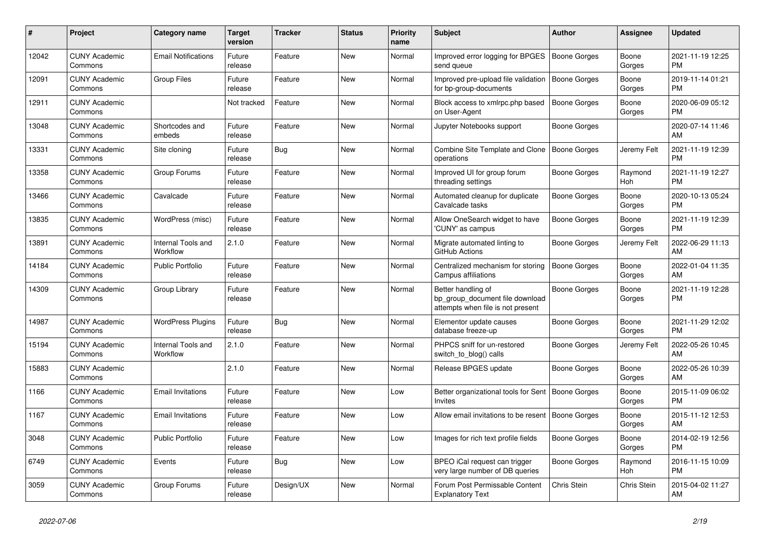| #     | <b>Project</b>                  | <b>Category name</b>           | <b>Target</b><br>version | <b>Tracker</b> | <b>Status</b> | <b>Priority</b><br>name | <b>Subject</b>                                                                             | <b>Author</b>       | Assignee        | <b>Updated</b>                |
|-------|---------------------------------|--------------------------------|--------------------------|----------------|---------------|-------------------------|--------------------------------------------------------------------------------------------|---------------------|-----------------|-------------------------------|
| 12042 | <b>CUNY Academic</b><br>Commons | <b>Email Notifications</b>     | Future<br>release        | Feature        | <b>New</b>    | Normal                  | Improved error logging for BPGES<br>send queue                                             | Boone Gorges        | Boone<br>Gorges | 2021-11-19 12:25<br><b>PM</b> |
| 12091 | <b>CUNY Academic</b><br>Commons | Group Files                    | Future<br>release        | Feature        | New           | Normal                  | Improved pre-upload file validation<br>for bp-group-documents                              | <b>Boone Gorges</b> | Boone<br>Gorges | 2019-11-14 01:21<br><b>PM</b> |
| 12911 | <b>CUNY Academic</b><br>Commons |                                | Not tracked              | Feature        | <b>New</b>    | Normal                  | Block access to xmlrpc.php based<br>on User-Agent                                          | Boone Gorges        | Boone<br>Gorges | 2020-06-09 05:12<br><b>PM</b> |
| 13048 | <b>CUNY Academic</b><br>Commons | Shortcodes and<br>embeds       | Future<br>release        | Feature        | New           | Normal                  | Jupyter Notebooks support                                                                  | Boone Gorges        |                 | 2020-07-14 11:46<br>AM        |
| 13331 | <b>CUNY Academic</b><br>Commons | Site cloning                   | Future<br>release        | <b>Bug</b>     | New           | Normal                  | <b>Combine Site Template and Clone</b><br>operations                                       | Boone Gorges        | Jeremy Felt     | 2021-11-19 12:39<br><b>PM</b> |
| 13358 | <b>CUNY Academic</b><br>Commons | Group Forums                   | Future<br>release        | Feature        | New           | Normal                  | Improved UI for group forum<br>threading settings                                          | Boone Gorges        | Raymond<br>Hoh  | 2021-11-19 12:27<br><b>PM</b> |
| 13466 | <b>CUNY Academic</b><br>Commons | Cavalcade                      | Future<br>release        | Feature        | New           | Normal                  | Automated cleanup for duplicate<br>Cavalcade tasks                                         | Boone Gorges        | Boone<br>Gorges | 2020-10-13 05:24<br><b>PM</b> |
| 13835 | <b>CUNY Academic</b><br>Commons | WordPress (misc)               | Future<br>release        | Feature        | <b>New</b>    | Normal                  | Allow OneSearch widget to have<br>'CUNY' as campus                                         | Boone Gorges        | Boone<br>Gorges | 2021-11-19 12:39<br><b>PM</b> |
| 13891 | <b>CUNY Academic</b><br>Commons | Internal Tools and<br>Workflow | 2.1.0                    | Feature        | New           | Normal                  | Migrate automated linting to<br>GitHub Actions                                             | Boone Gorges        | Jeremy Felt     | 2022-06-29 11:13<br>AM        |
| 14184 | <b>CUNY Academic</b><br>Commons | Public Portfolio               | Future<br>release        | Feature        | New           | Normal                  | Centralized mechanism for storing<br><b>Campus affiliations</b>                            | <b>Boone Gorges</b> | Boone<br>Gorges | 2022-01-04 11:35<br>AM        |
| 14309 | <b>CUNY Academic</b><br>Commons | Group Library                  | Future<br>release        | Feature        | New           | Normal                  | Better handling of<br>bp_group_document file download<br>attempts when file is not present | Boone Gorges        | Boone<br>Gorges | 2021-11-19 12:28<br>PM        |
| 14987 | <b>CUNY Academic</b><br>Commons | <b>WordPress Plugins</b>       | Future<br>release        | Bug            | <b>New</b>    | Normal                  | Elementor update causes<br>database freeze-up                                              | Boone Gorges        | Boone<br>Gorges | 2021-11-29 12:02<br><b>PM</b> |
| 15194 | <b>CUNY Academic</b><br>Commons | Internal Tools and<br>Workflow | 2.1.0                    | Feature        | <b>New</b>    | Normal                  | PHPCS sniff for un-restored<br>switch_to_blog() calls                                      | Boone Gorges        | Jeremy Felt     | 2022-05-26 10:45<br>AM        |
| 15883 | <b>CUNY Academic</b><br>Commons |                                | 2.1.0                    | Feature        | New           | Normal                  | Release BPGES update                                                                       | Boone Gorges        | Boone<br>Gorges | 2022-05-26 10:39<br>AM        |
| 1166  | <b>CUNY Academic</b><br>Commons | <b>Email Invitations</b>       | Future<br>release        | Feature        | <b>New</b>    | Low                     | Better organizational tools for Sent   Boone Gorges<br>Invites                             |                     | Boone<br>Gorges | 2015-11-09 06:02<br><b>PM</b> |
| 1167  | <b>CUNY Academic</b><br>Commons | <b>Email Invitations</b>       | Future<br>release        | Feature        | <b>New</b>    | Low                     | Allow email invitations to be resent                                                       | Boone Gorges        | Boone<br>Gorges | 2015-11-12 12:53<br>AM        |
| 3048  | <b>CUNY Academic</b><br>Commons | <b>Public Portfolio</b>        | Future<br>release        | Feature        | <b>New</b>    | Low                     | Images for rich text profile fields                                                        | Boone Gorges        | Boone<br>Gorges | 2014-02-19 12:56<br><b>PM</b> |
| 6749  | <b>CUNY Academic</b><br>Commons | Events                         | Future<br>release        | Bug            | New           | Low                     | BPEO iCal request can trigger<br>very large number of DB queries                           | Boone Gorges        | Raymond<br>Hoh  | 2016-11-15 10:09<br><b>PM</b> |
| 3059  | <b>CUNY Academic</b><br>Commons | Group Forums                   | Future<br>release        | Design/UX      | <b>New</b>    | Normal                  | Forum Post Permissable Content<br><b>Explanatory Text</b>                                  | Chris Stein         | Chris Stein     | 2015-04-02 11:27<br>AM        |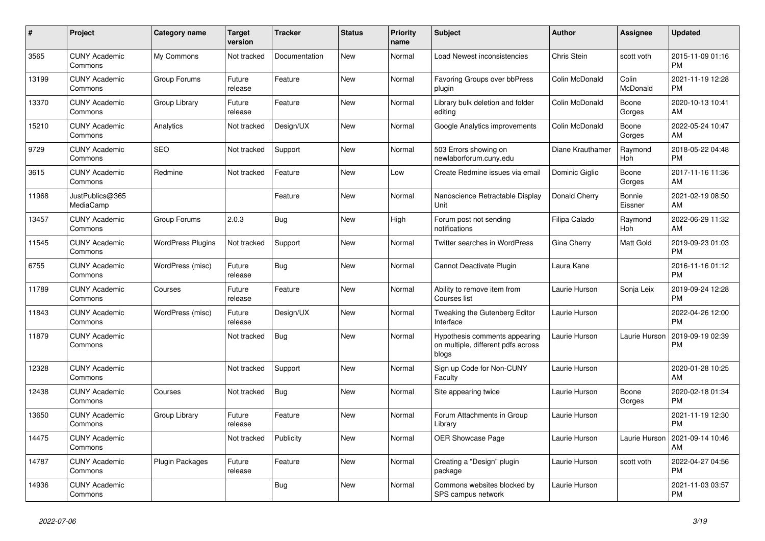| #     | Project                         | Category name            | <b>Target</b><br>version | <b>Tracker</b> | <b>Status</b> | <b>Priority</b><br>name | <b>Subject</b>                                                               | Author           | Assignee          | <b>Updated</b>                |
|-------|---------------------------------|--------------------------|--------------------------|----------------|---------------|-------------------------|------------------------------------------------------------------------------|------------------|-------------------|-------------------------------|
| 3565  | <b>CUNY Academic</b><br>Commons | My Commons               | Not tracked              | Documentation  | <b>New</b>    | Normal                  | Load Newest inconsistencies                                                  | Chris Stein      | scott voth        | 2015-11-09 01:16<br><b>PM</b> |
| 13199 | <b>CUNY Academic</b><br>Commons | Group Forums             | Future<br>release        | Feature        | New           | Normal                  | Favoring Groups over bbPress<br>plugin                                       | Colin McDonald   | Colin<br>McDonald | 2021-11-19 12:28<br><b>PM</b> |
| 13370 | <b>CUNY Academic</b><br>Commons | Group Library            | Future<br>release        | Feature        | New           | Normal                  | Library bulk deletion and folder<br>editina                                  | Colin McDonald   | Boone<br>Gorges   | 2020-10-13 10:41<br>AM        |
| 15210 | <b>CUNY Academic</b><br>Commons | Analytics                | Not tracked              | Design/UX      | <b>New</b>    | Normal                  | Google Analytics improvements                                                | Colin McDonald   | Boone<br>Gorges   | 2022-05-24 10:47<br>AM        |
| 9729  | <b>CUNY Academic</b><br>Commons | <b>SEO</b>               | Not tracked              | Support        | New           | Normal                  | 503 Errors showing on<br>newlaborforum.cuny.edu                              | Diane Krauthamer | Raymond<br>Hoh    | 2018-05-22 04:48<br><b>PM</b> |
| 3615  | <b>CUNY Academic</b><br>Commons | Redmine                  | Not tracked              | Feature        | New           | Low                     | Create Redmine issues via email                                              | Dominic Giglio   | Boone<br>Gorges   | 2017-11-16 11:36<br>AM        |
| 11968 | JustPublics@365<br>MediaCamp    |                          |                          | Feature        | <b>New</b>    | Normal                  | Nanoscience Retractable Display<br>Unit                                      | Donald Cherry    | Bonnie<br>Eissner | 2021-02-19 08:50<br>AM        |
| 13457 | <b>CUNY Academic</b><br>Commons | Group Forums             | 2.0.3                    | Bug            | New           | High                    | Forum post not sending<br>notifications                                      | Filipa Calado    | Raymond<br>Hoh    | 2022-06-29 11:32<br>AM        |
| 11545 | <b>CUNY Academic</b><br>Commons | <b>WordPress Plugins</b> | Not tracked              | Support        | <b>New</b>    | Normal                  | <b>Twitter searches in WordPress</b>                                         | Gina Cherry      | Matt Gold         | 2019-09-23 01:03<br><b>PM</b> |
| 6755  | <b>CUNY Academic</b><br>Commons | WordPress (misc)         | Future<br>release        | Bug            | <b>New</b>    | Normal                  | Cannot Deactivate Plugin                                                     | Laura Kane       |                   | 2016-11-16 01:12<br><b>PM</b> |
| 11789 | <b>CUNY Academic</b><br>Commons | Courses                  | Future<br>release        | Feature        | New           | Normal                  | Ability to remove item from<br>Courses list                                  | Laurie Hurson    | Sonja Leix        | 2019-09-24 12:28<br><b>PM</b> |
| 11843 | <b>CUNY Academic</b><br>Commons | WordPress (misc)         | Future<br>release        | Design/UX      | New           | Normal                  | <b>Tweaking the Gutenberg Editor</b><br>Interface                            | Laurie Hurson    |                   | 2022-04-26 12:00<br><b>PM</b> |
| 11879 | <b>CUNY Academic</b><br>Commons |                          | Not tracked              | <b>Bug</b>     | <b>New</b>    | Normal                  | Hypothesis comments appearing<br>on multiple, different pdfs across<br>blogs | Laurie Hurson    | Laurie Hurson     | 2019-09-19 02:39<br><b>PM</b> |
| 12328 | <b>CUNY Academic</b><br>Commons |                          | Not tracked              | Support        | New           | Normal                  | Sign up Code for Non-CUNY<br>Faculty                                         | Laurie Hurson    |                   | 2020-01-28 10:25<br>AM        |
| 12438 | <b>CUNY Academic</b><br>Commons | Courses                  | Not tracked              | <b>Bug</b>     | <b>New</b>    | Normal                  | Site appearing twice                                                         | Laurie Hurson    | Boone<br>Gorges   | 2020-02-18 01:34<br><b>PM</b> |
| 13650 | <b>CUNY Academic</b><br>Commons | Group Library            | Future<br>release        | Feature        | New           | Normal                  | Forum Attachments in Group<br>Librarv                                        | Laurie Hurson    |                   | 2021-11-19 12:30<br><b>PM</b> |
| 14475 | <b>CUNY Academic</b><br>Commons |                          | Not tracked              | Publicity      | New           | Normal                  | <b>OER Showcase Page</b>                                                     | Laurie Hurson    | Laurie Hurson     | 2021-09-14 10:46<br>AM        |
| 14787 | <b>CUNY Academic</b><br>Commons | Plugin Packages          | Future<br>release        | Feature        | <b>New</b>    | Normal                  | Creating a "Design" plugin<br>package                                        | Laurie Hurson    | scott voth        | 2022-04-27 04:56<br><b>PM</b> |
| 14936 | <b>CUNY Academic</b><br>Commons |                          |                          | Bug            | <b>New</b>    | Normal                  | Commons websites blocked by<br>SPS campus network                            | Laurie Hurson    |                   | 2021-11-03 03:57<br><b>PM</b> |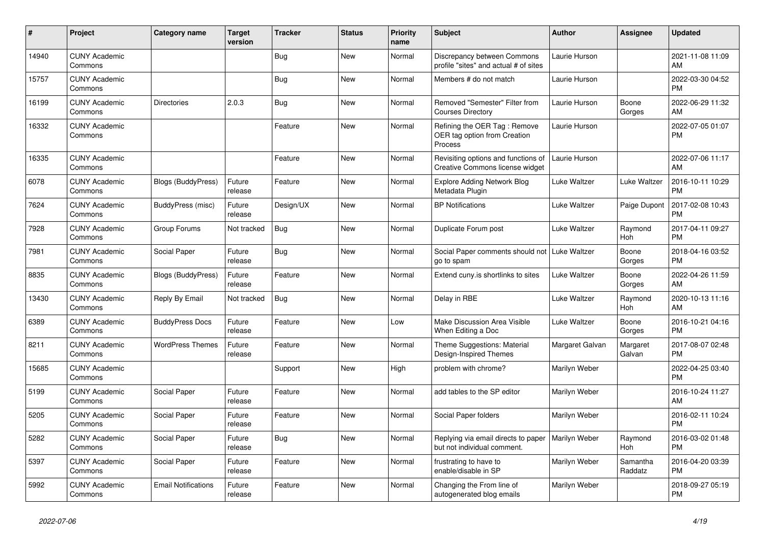| $\pmb{\sharp}$ | Project                         | <b>Category name</b>       | <b>Target</b><br>version | <b>Tracker</b> | <b>Status</b> | <b>Priority</b><br>name | <b>Subject</b>                                                          | <b>Author</b>   | <b>Assignee</b>     | <b>Updated</b>                |
|----------------|---------------------------------|----------------------------|--------------------------|----------------|---------------|-------------------------|-------------------------------------------------------------------------|-----------------|---------------------|-------------------------------|
| 14940          | <b>CUNY Academic</b><br>Commons |                            |                          | Bug            | New           | Normal                  | Discrepancy between Commons<br>profile "sites" and actual # of sites    | Laurie Hurson   |                     | 2021-11-08 11:09<br>AM        |
| 15757          | <b>CUNY Academic</b><br>Commons |                            |                          | Bug            | New           | Normal                  | Members # do not match                                                  | Laurie Hurson   |                     | 2022-03-30 04:52<br><b>PM</b> |
| 16199          | <b>CUNY Academic</b><br>Commons | <b>Directories</b>         | 2.0.3                    | Bug            | <b>New</b>    | Normal                  | Removed "Semester" Filter from<br><b>Courses Directory</b>              | Laurie Hurson   | Boone<br>Gorges     | 2022-06-29 11:32<br>AM        |
| 16332          | <b>CUNY Academic</b><br>Commons |                            |                          | Feature        | <b>New</b>    | Normal                  | Refining the OER Tag: Remove<br>OER tag option from Creation<br>Process | Laurie Hurson   |                     | 2022-07-05 01:07<br><b>PM</b> |
| 16335          | <b>CUNY Academic</b><br>Commons |                            |                          | Feature        | New           | Normal                  | Revisiting options and functions of<br>Creative Commons license widget  | Laurie Hurson   |                     | 2022-07-06 11:17<br>AM        |
| 6078           | <b>CUNY Academic</b><br>Commons | Blogs (BuddyPress)         | Future<br>release        | Feature        | <b>New</b>    | Normal                  | <b>Explore Adding Network Blog</b><br>Metadata Plugin                   | Luke Waltzer    | Luke Waltzer        | 2016-10-11 10:29<br><b>PM</b> |
| 7624           | <b>CUNY Academic</b><br>Commons | BuddyPress (misc)          | Future<br>release        | Design/UX      | New           | Normal                  | <b>BP</b> Notifications                                                 | Luke Waltzer    | Paige Dupont        | 2017-02-08 10:43<br><b>PM</b> |
| 7928           | <b>CUNY Academic</b><br>Commons | Group Forums               | Not tracked              | <b>Bug</b>     | <b>New</b>    | Normal                  | Duplicate Forum post                                                    | Luke Waltzer    | Raymond<br>Hoh      | 2017-04-11 09:27<br><b>PM</b> |
| 7981           | <b>CUNY Academic</b><br>Commons | Social Paper               | Future<br>release        | Bug            | <b>New</b>    | Normal                  | Social Paper comments should not   Luke Waltzer<br>go to spam           |                 | Boone<br>Gorges     | 2018-04-16 03:52<br><b>PM</b> |
| 8835           | <b>CUNY Academic</b><br>Commons | <b>Blogs (BuddyPress)</b>  | Future<br>release        | Feature        | New           | Normal                  | Extend cuny.is shortlinks to sites                                      | Luke Waltzer    | Boone<br>Gorges     | 2022-04-26 11:59<br>AM        |
| 13430          | <b>CUNY Academic</b><br>Commons | Reply By Email             | Not tracked              | Bug            | New           | Normal                  | Delay in RBE                                                            | Luke Waltzer    | Raymond<br>Hoh      | 2020-10-13 11:16<br>AM        |
| 6389           | <b>CUNY Academic</b><br>Commons | <b>BuddyPress Docs</b>     | Future<br>release        | Feature        | <b>New</b>    | Low                     | Make Discussion Area Visible<br>When Editing a Doc                      | Luke Waltzer    | Boone<br>Gorges     | 2016-10-21 04:16<br><b>PM</b> |
| 8211           | <b>CUNY Academic</b><br>Commons | <b>WordPress Themes</b>    | Future<br>release        | Feature        | New           | Normal                  | Theme Suggestions: Material<br>Design-Inspired Themes                   | Margaret Galvan | Margaret<br>Galvan  | 2017-08-07 02:48<br><b>PM</b> |
| 15685          | <b>CUNY Academic</b><br>Commons |                            |                          | Support        | New           | High                    | problem with chrome?                                                    | Marilyn Weber   |                     | 2022-04-25 03:40<br><b>PM</b> |
| 5199           | <b>CUNY Academic</b><br>Commons | Social Paper               | Future<br>release        | Feature        | New           | Normal                  | add tables to the SP editor                                             | Marilyn Weber   |                     | 2016-10-24 11:27<br>AM        |
| 5205           | <b>CUNY Academic</b><br>Commons | Social Paper               | Future<br>release        | Feature        | <b>New</b>    | Normal                  | Social Paper folders                                                    | Marilyn Weber   |                     | 2016-02-11 10:24<br><b>PM</b> |
| 5282           | <b>CUNY Academic</b><br>Commons | Social Paper               | Future<br>release        | Bug            | <b>New</b>    | Normal                  | Replying via email directs to paper<br>but not individual comment.      | Marilyn Weber   | Raymond<br>Hoh      | 2016-03-02 01:48<br><b>PM</b> |
| 5397           | <b>CUNY Academic</b><br>Commons | Social Paper               | Future<br>release        | Feature        | New           | Normal                  | frustrating to have to<br>enable/disable in SP                          | Marilyn Weber   | Samantha<br>Raddatz | 2016-04-20 03:39<br><b>PM</b> |
| 5992           | <b>CUNY Academic</b><br>Commons | <b>Email Notifications</b> | Future<br>release        | Feature        | <b>New</b>    | Normal                  | Changing the From line of<br>autogenerated blog emails                  | Marilyn Weber   |                     | 2018-09-27 05:19<br><b>PM</b> |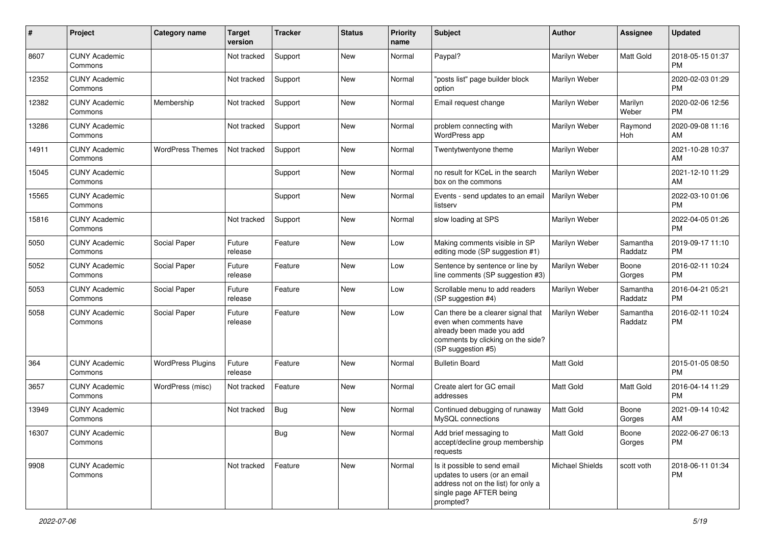| #     | Project                         | <b>Category name</b>     | <b>Target</b><br>version | <b>Tracker</b> | <b>Status</b> | Priority<br>name | <b>Subject</b>                                                                                                                                        | <b>Author</b>          | <b>Assignee</b>     | <b>Updated</b>                |
|-------|---------------------------------|--------------------------|--------------------------|----------------|---------------|------------------|-------------------------------------------------------------------------------------------------------------------------------------------------------|------------------------|---------------------|-------------------------------|
| 8607  | <b>CUNY Academic</b><br>Commons |                          | Not tracked              | Support        | New           | Normal           | Paypal?                                                                                                                                               | Marilyn Weber          | Matt Gold           | 2018-05-15 01:37<br><b>PM</b> |
| 12352 | <b>CUNY Academic</b><br>Commons |                          | Not tracked              | Support        | New           | Normal           | 'posts list" page builder block<br>option                                                                                                             | Marilyn Weber          |                     | 2020-02-03 01:29<br><b>PM</b> |
| 12382 | <b>CUNY Academic</b><br>Commons | Membership               | Not tracked              | Support        | New           | Normal           | Email request change                                                                                                                                  | Marilyn Weber          | Marilyn<br>Weber    | 2020-02-06 12:56<br><b>PM</b> |
| 13286 | <b>CUNY Academic</b><br>Commons |                          | Not tracked              | Support        | <b>New</b>    | Normal           | problem connecting with<br>WordPress app                                                                                                              | Marilyn Weber          | Raymond<br>Hoh      | 2020-09-08 11:16<br>AM        |
| 14911 | <b>CUNY Academic</b><br>Commons | <b>WordPress Themes</b>  | Not tracked              | Support        | <b>New</b>    | Normal           | Twentytwentyone theme                                                                                                                                 | Marilyn Weber          |                     | 2021-10-28 10:37<br>AM        |
| 15045 | <b>CUNY Academic</b><br>Commons |                          |                          | Support        | New           | Normal           | no result for KCeL in the search<br>box on the commons                                                                                                | Marilyn Weber          |                     | 2021-12-10 11:29<br>AM        |
| 15565 | <b>CUNY Academic</b><br>Commons |                          |                          | Support        | <b>New</b>    | Normal           | Events - send updates to an email<br>listserv                                                                                                         | Marilyn Weber          |                     | 2022-03-10 01:06<br><b>PM</b> |
| 15816 | <b>CUNY Academic</b><br>Commons |                          | Not tracked              | Support        | <b>New</b>    | Normal           | slow loading at SPS                                                                                                                                   | Marilyn Weber          |                     | 2022-04-05 01:26<br><b>PM</b> |
| 5050  | <b>CUNY Academic</b><br>Commons | Social Paper             | Future<br>release        | Feature        | New           | Low              | Making comments visible in SP<br>editing mode (SP suggestion #1)                                                                                      | Marilyn Weber          | Samantha<br>Raddatz | 2019-09-17 11:10<br><b>PM</b> |
| 5052  | <b>CUNY Academic</b><br>Commons | Social Paper             | Future<br>release        | Feature        | New           | Low              | Sentence by sentence or line by<br>line comments (SP suggestion #3)                                                                                   | Marilyn Weber          | Boone<br>Gorges     | 2016-02-11 10:24<br><b>PM</b> |
| 5053  | <b>CUNY Academic</b><br>Commons | Social Paper             | Future<br>release        | Feature        | New           | Low              | Scrollable menu to add readers<br>(SP suggestion #4)                                                                                                  | Marilyn Weber          | Samantha<br>Raddatz | 2016-04-21 05:21<br><b>PM</b> |
| 5058  | <b>CUNY Academic</b><br>Commons | Social Paper             | Future<br>release        | Feature        | <b>New</b>    | Low              | Can there be a clearer signal that<br>even when comments have<br>already been made you add<br>comments by clicking on the side?<br>(SP suggestion #5) | Marilyn Weber          | Samantha<br>Raddatz | 2016-02-11 10:24<br><b>PM</b> |
| 364   | <b>CUNY Academic</b><br>Commons | <b>WordPress Plugins</b> | Future<br>release        | Feature        | New           | Normal           | <b>Bulletin Board</b>                                                                                                                                 | <b>Matt Gold</b>       |                     | 2015-01-05 08:50<br><b>PM</b> |
| 3657  | <b>CUNY Academic</b><br>Commons | WordPress (misc)         | Not tracked              | Feature        | <b>New</b>    | Normal           | Create alert for GC email<br>addresses                                                                                                                | Matt Gold              | Matt Gold           | 2016-04-14 11:29<br><b>PM</b> |
| 13949 | <b>CUNY Academic</b><br>Commons |                          | Not tracked              | Bug            | <b>New</b>    | Normal           | Continued debugging of runaway<br>MySQL connections                                                                                                   | <b>Matt Gold</b>       | Boone<br>Gorges     | 2021-09-14 10:42<br>AM        |
| 16307 | <b>CUNY Academic</b><br>Commons |                          |                          | Bug            | New           | Normal           | Add brief messaging to<br>accept/decline group membership<br>requests                                                                                 | Matt Gold              | Boone<br>Gorges     | 2022-06-27 06:13<br>PM        |
| 9908  | <b>CUNY Academic</b><br>Commons |                          | Not tracked              | Feature        | New           | Normal           | Is it possible to send email<br>updates to users (or an email<br>address not on the list) for only a<br>single page AFTER being<br>prompted?          | <b>Michael Shields</b> | scott voth          | 2018-06-11 01:34<br><b>PM</b> |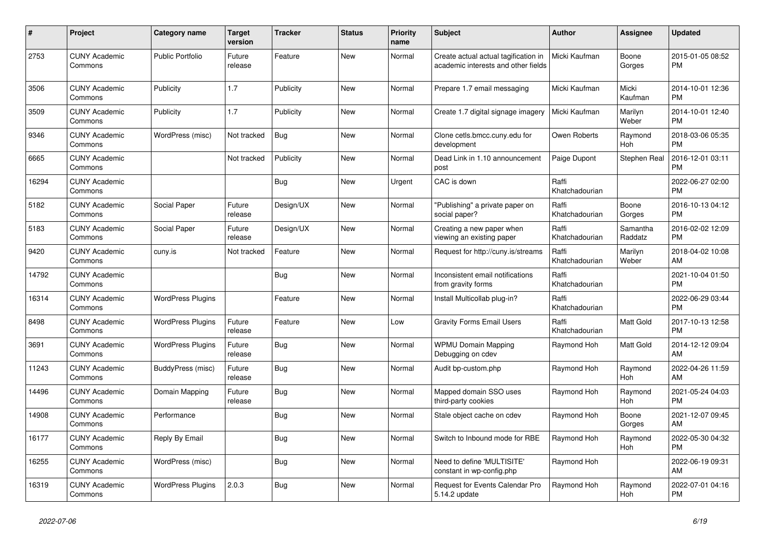| #     | <b>Project</b>                  | <b>Category name</b>     | <b>Target</b><br>version | <b>Tracker</b> | <b>Status</b> | <b>Priority</b><br>name | <b>Subject</b>                                                              | <b>Author</b>           | Assignee            | <b>Updated</b>                |
|-------|---------------------------------|--------------------------|--------------------------|----------------|---------------|-------------------------|-----------------------------------------------------------------------------|-------------------------|---------------------|-------------------------------|
| 2753  | <b>CUNY Academic</b><br>Commons | <b>Public Portfolio</b>  | Future<br>release        | Feature        | New           | Normal                  | Create actual actual tagification in<br>academic interests and other fields | Micki Kaufman           | Boone<br>Gorges     | 2015-01-05 08:52<br><b>PM</b> |
| 3506  | <b>CUNY Academic</b><br>Commons | Publicity                | 1.7                      | Publicity      | New           | Normal                  | Prepare 1.7 email messaging                                                 | Micki Kaufman           | Micki<br>Kaufman    | 2014-10-01 12:36<br><b>PM</b> |
| 3509  | <b>CUNY Academic</b><br>Commons | Publicity                | 1.7                      | Publicity      | New           | Normal                  | Create 1.7 digital signage imagery                                          | Micki Kaufman           | Marilyn<br>Weber    | 2014-10-01 12:40<br><b>PM</b> |
| 9346  | <b>CUNY Academic</b><br>Commons | WordPress (misc)         | Not tracked              | <b>Bug</b>     | <b>New</b>    | Normal                  | Clone cetls.bmcc.cuny.edu for<br>development                                | Owen Roberts            | Raymond<br>Hoh      | 2018-03-06 05:35<br><b>PM</b> |
| 6665  | <b>CUNY Academic</b><br>Commons |                          | Not tracked              | Publicity      | <b>New</b>    | Normal                  | Dead Link in 1.10 announcement<br>post                                      | Paige Dupont            | Stephen Real        | 2016-12-01 03:11<br><b>PM</b> |
| 16294 | <b>CUNY Academic</b><br>Commons |                          |                          | <b>Bug</b>     | <b>New</b>    | Urgent                  | CAC is down                                                                 | Raffi<br>Khatchadourian |                     | 2022-06-27 02:00<br><b>PM</b> |
| 5182  | <b>CUNY Academic</b><br>Commons | Social Paper             | Future<br>release        | Design/UX      | <b>New</b>    | Normal                  | "Publishing" a private paper on<br>social paper?                            | Raffi<br>Khatchadourian | Boone<br>Gorges     | 2016-10-13 04:12<br><b>PM</b> |
| 5183  | <b>CUNY Academic</b><br>Commons | Social Paper             | Future<br>release        | Design/UX      | New           | Normal                  | Creating a new paper when<br>viewing an existing paper                      | Raffi<br>Khatchadourian | Samantha<br>Raddatz | 2016-02-02 12:09<br><b>PM</b> |
| 9420  | <b>CUNY Academic</b><br>Commons | cuny.is                  | Not tracked              | Feature        | New           | Normal                  | Request for http://cuny.is/streams                                          | Raffi<br>Khatchadourian | Marilyn<br>Weber    | 2018-04-02 10:08<br>AM        |
| 14792 | <b>CUNY Academic</b><br>Commons |                          |                          | <b>Bug</b>     | <b>New</b>    | Normal                  | Inconsistent email notifications<br>from gravity forms                      | Raffi<br>Khatchadourian |                     | 2021-10-04 01:50<br><b>PM</b> |
| 16314 | <b>CUNY Academic</b><br>Commons | <b>WordPress Plugins</b> |                          | Feature        | New           | Normal                  | Install Multicollab plug-in?                                                | Raffi<br>Khatchadourian |                     | 2022-06-29 03:44<br><b>PM</b> |
| 8498  | <b>CUNY Academic</b><br>Commons | <b>WordPress Plugins</b> | Future<br>release        | Feature        | New           | Low                     | <b>Gravity Forms Email Users</b>                                            | Raffi<br>Khatchadourian | Matt Gold           | 2017-10-13 12:58<br><b>PM</b> |
| 3691  | <b>CUNY Academic</b><br>Commons | <b>WordPress Plugins</b> | Future<br>release        | <b>Bug</b>     | <b>New</b>    | Normal                  | <b>WPMU Domain Mapping</b><br>Debugging on cdev                             | Raymond Hoh             | Matt Gold           | 2014-12-12 09:04<br>AM        |
| 11243 | <b>CUNY Academic</b><br>Commons | BuddyPress (misc)        | Future<br>release        | Bug            | New           | Normal                  | Audit bp-custom.php                                                         | Raymond Hoh             | Raymond<br>Hoh      | 2022-04-26 11:59<br>AM        |
| 14496 | <b>CUNY Academic</b><br>Commons | Domain Mapping           | Future<br>release        | Bug            | New           | Normal                  | Mapped domain SSO uses<br>third-party cookies                               | Raymond Hoh             | Raymond<br>Hoh      | 2021-05-24 04:03<br><b>PM</b> |
| 14908 | <b>CUNY Academic</b><br>Commons | Performance              |                          | <b>Bug</b>     | <b>New</b>    | Normal                  | Stale object cache on cdev                                                  | Raymond Hoh             | Boone<br>Gorges     | 2021-12-07 09:45<br>AM        |
| 16177 | <b>CUNY Academic</b><br>Commons | Reply By Email           |                          | Bug            | New           | Normal                  | Switch to Inbound mode for RBE                                              | Raymond Hoh             | Raymond<br>Hoh      | 2022-05-30 04:32<br><b>PM</b> |
| 16255 | <b>CUNY Academic</b><br>Commons | WordPress (misc)         |                          | Bug            | New           | Normal                  | Need to define 'MULTISITE'<br>constant in wp-config.php                     | Raymond Hoh             |                     | 2022-06-19 09:31<br>AM        |
| 16319 | <b>CUNY Academic</b><br>Commons | <b>WordPress Plugins</b> | 2.0.3                    | <b>Bug</b>     | <b>New</b>    | Normal                  | Request for Events Calendar Pro<br>5.14.2 update                            | Raymond Hoh             | Raymond<br>Hoh      | 2022-07-01 04:16<br><b>PM</b> |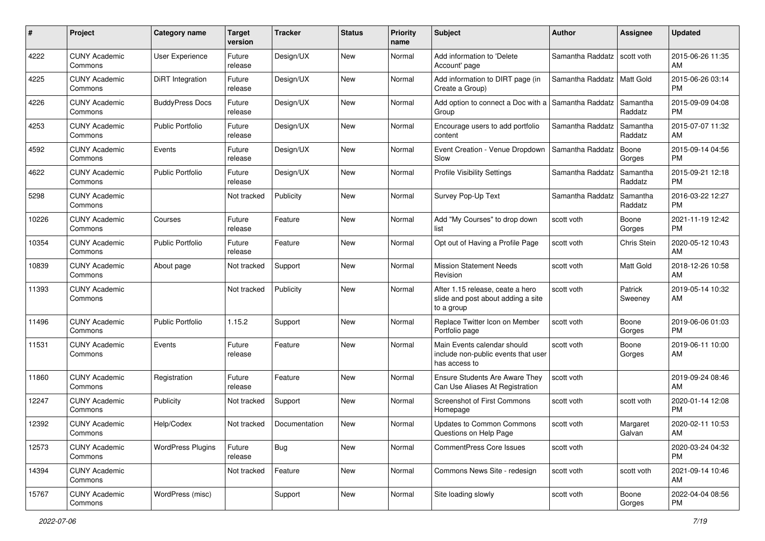| #     | Project                         | <b>Category name</b>     | <b>Target</b><br>version | <b>Tracker</b> | <b>Status</b> | <b>Priority</b><br>name | Subject                                                                              | Author           | Assignee            | <b>Updated</b>                |
|-------|---------------------------------|--------------------------|--------------------------|----------------|---------------|-------------------------|--------------------------------------------------------------------------------------|------------------|---------------------|-------------------------------|
| 4222  | <b>CUNY Academic</b><br>Commons | <b>User Experience</b>   | Future<br>release        | Design/UX      | New           | Normal                  | Add information to 'Delete<br>Account' page                                          | Samantha Raddatz | scott voth          | 2015-06-26 11:35<br>AM        |
| 4225  | <b>CUNY Academic</b><br>Commons | DiRT Integration         | Future<br>release        | Design/UX      | New           | Normal                  | Add information to DIRT page (in<br>Create a Group)                                  | Samantha Raddatz | <b>Matt Gold</b>    | 2015-06-26 03:14<br><b>PM</b> |
| 4226  | <b>CUNY Academic</b><br>Commons | <b>BuddyPress Docs</b>   | Future<br>release        | Design/UX      | New           | Normal                  | Add option to connect a Doc with a<br>Group                                          | Samantha Raddatz | Samantha<br>Raddatz | 2015-09-09 04:08<br><b>PM</b> |
| 4253  | <b>CUNY Academic</b><br>Commons | <b>Public Portfolio</b>  | Future<br>release        | Design/UX      | <b>New</b>    | Normal                  | Encourage users to add portfolio<br>content                                          | Samantha Raddatz | Samantha<br>Raddatz | 2015-07-07 11:32<br>AM        |
| 4592  | <b>CUNY Academic</b><br>Commons | Events                   | Future<br>release        | Design/UX      | New           | Normal                  | Event Creation - Venue Dropdown<br>Slow                                              | Samantha Raddatz | Boone<br>Gorges     | 2015-09-14 04:56<br><b>PM</b> |
| 4622  | <b>CUNY Academic</b><br>Commons | <b>Public Portfolio</b>  | Future<br>release        | Design/UX      | New           | Normal                  | Profile Visibility Settings                                                          | Samantha Raddatz | Samantha<br>Raddatz | 2015-09-21 12:18<br>PM        |
| 5298  | <b>CUNY Academic</b><br>Commons |                          | Not tracked              | Publicity      | New           | Normal                  | Survey Pop-Up Text                                                                   | Samantha Raddatz | Samantha<br>Raddatz | 2016-03-22 12:27<br><b>PM</b> |
| 10226 | <b>CUNY Academic</b><br>Commons | Courses                  | Future<br>release        | Feature        | New           | Normal                  | Add "My Courses" to drop down<br>list                                                | scott voth       | Boone<br>Gorges     | 2021-11-19 12:42<br><b>PM</b> |
| 10354 | <b>CUNY Academic</b><br>Commons | <b>Public Portfolio</b>  | Future<br>release        | Feature        | New           | Normal                  | Opt out of Having a Profile Page                                                     | scott voth       | Chris Stein         | 2020-05-12 10:43<br>AM        |
| 10839 | <b>CUNY Academic</b><br>Commons | About page               | Not tracked              | Support        | New           | Normal                  | <b>Mission Statement Needs</b><br>Revision                                           | scott voth       | Matt Gold           | 2018-12-26 10:58<br>AM        |
| 11393 | <b>CUNY Academic</b><br>Commons |                          | Not tracked              | Publicity      | New           | Normal                  | After 1.15 release, ceate a hero<br>slide and post about adding a site<br>to a group | scott voth       | Patrick<br>Sweeney  | 2019-05-14 10:32<br>AM        |
| 11496 | <b>CUNY Academic</b><br>Commons | Public Portfolio         | 1.15.2                   | Support        | New           | Normal                  | Replace Twitter Icon on Member<br>Portfolio page                                     | scott voth       | Boone<br>Gorges     | 2019-06-06 01:03<br><b>PM</b> |
| 11531 | <b>CUNY Academic</b><br>Commons | Events                   | Future<br>release        | Feature        | New           | Normal                  | Main Events calendar should<br>include non-public events that user<br>has access to  | scott voth       | Boone<br>Gorges     | 2019-06-11 10:00<br>AM        |
| 11860 | <b>CUNY Academic</b><br>Commons | Registration             | Future<br>release        | Feature        | <b>New</b>    | Normal                  | Ensure Students Are Aware They<br>Can Use Aliases At Registration                    | scott voth       |                     | 2019-09-24 08:46<br>AM        |
| 12247 | <b>CUNY Academic</b><br>Commons | Publicity                | Not tracked              | Support        | New           | Normal                  | <b>Screenshot of First Commons</b><br>Homepage                                       | scott voth       | scott voth          | 2020-01-14 12:08<br><b>PM</b> |
| 12392 | <b>CUNY Academic</b><br>Commons | Help/Codex               | Not tracked              | Documentation  | New           | Normal                  | <b>Updates to Common Commons</b><br>Questions on Help Page                           | scott voth       | Margaret<br>Galvan  | 2020-02-11 10:53<br>AM        |
| 12573 | <b>CUNY Academic</b><br>Commons | <b>WordPress Plugins</b> | Future<br>release        | <b>Bug</b>     | New           | Normal                  | <b>CommentPress Core Issues</b>                                                      | scott voth       |                     | 2020-03-24 04:32<br>PM        |
| 14394 | <b>CUNY Academic</b><br>Commons |                          | Not tracked              | Feature        | New           | Normal                  | Commons News Site - redesign                                                         | scott voth       | scott voth          | 2021-09-14 10:46<br>AM        |
| 15767 | <b>CUNY Academic</b><br>Commons | WordPress (misc)         |                          | Support        | New           | Normal                  | Site loading slowly                                                                  | scott voth       | Boone<br>Gorges     | 2022-04-04 08:56<br><b>PM</b> |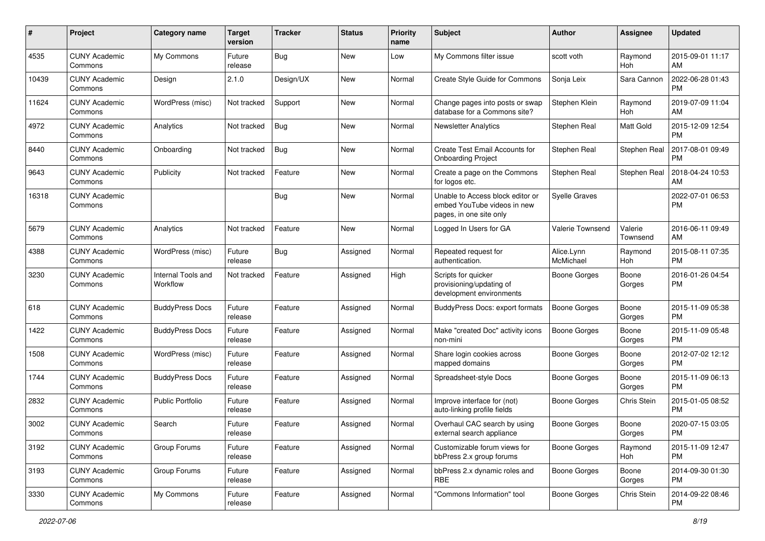| #     | Project                         | <b>Category name</b>           | <b>Target</b><br>version | <b>Tracker</b> | <b>Status</b> | <b>Priority</b><br>name | Subject                                                                                    | Author                  | <b>Assignee</b>     | <b>Updated</b>                |
|-------|---------------------------------|--------------------------------|--------------------------|----------------|---------------|-------------------------|--------------------------------------------------------------------------------------------|-------------------------|---------------------|-------------------------------|
| 4535  | <b>CUNY Academic</b><br>Commons | My Commons                     | Future<br>release        | Bug            | New           | Low                     | My Commons filter issue                                                                    | scott voth              | Raymond<br>Hoh      | 2015-09-01 11:17<br>AM        |
| 10439 | <b>CUNY Academic</b><br>Commons | Design                         | 2.1.0                    | Design/UX      | New           | Normal                  | Create Style Guide for Commons                                                             | Sonja Leix              | Sara Cannon         | 2022-06-28 01:43<br><b>PM</b> |
| 11624 | <b>CUNY Academic</b><br>Commons | WordPress (misc)               | Not tracked              | Support        | New           | Normal                  | Change pages into posts or swap<br>database for a Commons site?                            | Stephen Klein           | Raymond<br>Hoh      | 2019-07-09 11:04<br>AM        |
| 4972  | <b>CUNY Academic</b><br>Commons | Analytics                      | Not tracked              | Bug            | New           | Normal                  | <b>Newsletter Analytics</b>                                                                | Stephen Real            | Matt Gold           | 2015-12-09 12:54<br><b>PM</b> |
| 8440  | <b>CUNY Academic</b><br>Commons | Onboarding                     | Not tracked              | Bug            | New           | Normal                  | Create Test Email Accounts for<br><b>Onboarding Project</b>                                | Stephen Real            | Stephen Real        | 2017-08-01 09:49<br><b>PM</b> |
| 9643  | <b>CUNY Academic</b><br>Commons | Publicity                      | Not tracked              | Feature        | New           | Normal                  | Create a page on the Commons<br>for logos etc.                                             | Stephen Real            | Stephen Real        | 2018-04-24 10:53<br>AM        |
| 16318 | <b>CUNY Academic</b><br>Commons |                                |                          | Bug            | New           | Normal                  | Unable to Access block editor or<br>embed YouTube videos in new<br>pages, in one site only | <b>Syelle Graves</b>    |                     | 2022-07-01 06:53<br><b>PM</b> |
| 5679  | <b>CUNY Academic</b><br>Commons | Analytics                      | Not tracked              | Feature        | New           | Normal                  | Logged In Users for GA                                                                     | <b>Valerie Townsend</b> | Valerie<br>Townsend | 2016-06-11 09:49<br>AM        |
| 4388  | <b>CUNY Academic</b><br>Commons | WordPress (misc)               | Future<br>release        | <b>Bug</b>     | Assigned      | Normal                  | Repeated request for<br>authentication.                                                    | Alice.Lynn<br>McMichael | Raymond<br>Hoh      | 2015-08-11 07:35<br><b>PM</b> |
| 3230  | <b>CUNY Academic</b><br>Commons | Internal Tools and<br>Workflow | Not tracked              | Feature        | Assigned      | High                    | Scripts for quicker<br>provisioning/updating of<br>development environments                | Boone Gorges            | Boone<br>Gorges     | 2016-01-26 04:54<br><b>PM</b> |
| 618   | <b>CUNY Academic</b><br>Commons | <b>BuddyPress Docs</b>         | Future<br>release        | Feature        | Assigned      | Normal                  | BuddyPress Docs: export formats                                                            | <b>Boone Gorges</b>     | Boone<br>Gorges     | 2015-11-09 05:38<br>PM        |
| 1422  | <b>CUNY Academic</b><br>Commons | <b>BuddyPress Docs</b>         | Future<br>release        | Feature        | Assigned      | Normal                  | Make "created Doc" activity icons<br>non-mini                                              | <b>Boone Gorges</b>     | Boone<br>Gorges     | 2015-11-09 05:48<br><b>PM</b> |
| 1508  | <b>CUNY Academic</b><br>Commons | WordPress (misc)               | Future<br>release        | Feature        | Assigned      | Normal                  | Share login cookies across<br>mapped domains                                               | Boone Gorges            | Boone<br>Gorges     | 2012-07-02 12:12<br><b>PM</b> |
| 1744  | <b>CUNY Academic</b><br>Commons | <b>BuddyPress Docs</b>         | Future<br>release        | Feature        | Assigned      | Normal                  | Spreadsheet-style Docs                                                                     | <b>Boone Gorges</b>     | Boone<br>Gorges     | 2015-11-09 06:13<br><b>PM</b> |
| 2832  | <b>CUNY Academic</b><br>Commons | <b>Public Portfolio</b>        | Future<br>release        | Feature        | Assigned      | Normal                  | Improve interface for (not)<br>auto-linking profile fields                                 | <b>Boone Gorges</b>     | Chris Stein         | 2015-01-05 08:52<br><b>PM</b> |
| 3002  | <b>CUNY Academic</b><br>Commons | Search                         | Future<br>release        | Feature        | Assigned      | Normal                  | Overhaul CAC search by using<br>external search appliance                                  | <b>Boone Gorges</b>     | Boone<br>Gorges     | 2020-07-15 03:05<br>PM        |
| 3192  | <b>CUNY Academic</b><br>Commons | Group Forums                   | Future<br>release        | Feature        | Assigned      | Normal                  | Customizable forum views for<br>bbPress 2.x group forums                                   | Boone Gorges            | Raymond<br>Hoh      | 2015-11-09 12:47<br>PM        |
| 3193  | <b>CUNY Academic</b><br>Commons | Group Forums                   | Future<br>release        | Feature        | Assigned      | Normal                  | bbPress 2.x dynamic roles and<br><b>RBE</b>                                                | <b>Boone Gorges</b>     | Boone<br>Gorges     | 2014-09-30 01:30<br>PM        |
| 3330  | <b>CUNY Academic</b><br>Commons | My Commons                     | Future<br>release        | Feature        | Assigned      | Normal                  | "Commons Information" tool                                                                 | Boone Gorges            | Chris Stein         | 2014-09-22 08:46<br><b>PM</b> |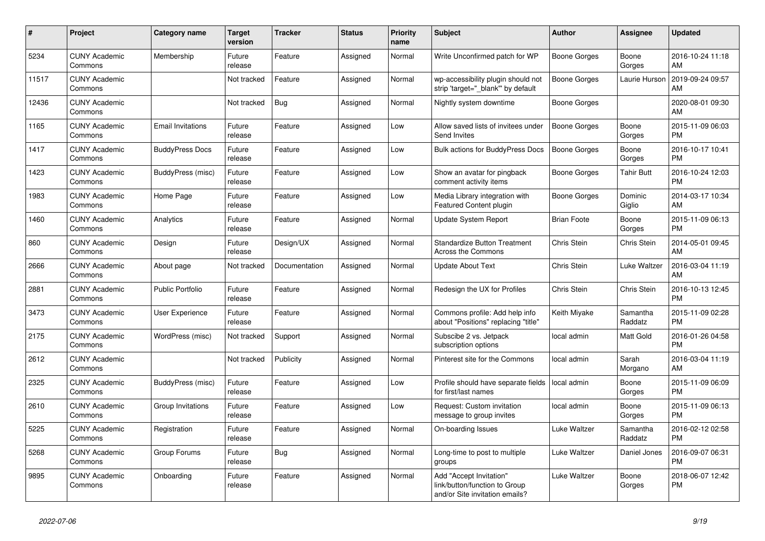| #     | Project                         | <b>Category name</b>     | <b>Target</b><br>version | <b>Tracker</b> | <b>Status</b> | <b>Priority</b><br>name | <b>Subject</b>                                                                             | <b>Author</b>       | <b>Assignee</b>     | <b>Updated</b>                |
|-------|---------------------------------|--------------------------|--------------------------|----------------|---------------|-------------------------|--------------------------------------------------------------------------------------------|---------------------|---------------------|-------------------------------|
| 5234  | <b>CUNY Academic</b><br>Commons | Membership               | Future<br>release        | Feature        | Assigned      | Normal                  | Write Unconfirmed patch for WP                                                             | Boone Gorges        | Boone<br>Gorges     | 2016-10-24 11:18<br>AM        |
| 11517 | <b>CUNY Academic</b><br>Commons |                          | Not tracked              | Feature        | Assigned      | Normal                  | wp-accessibility plugin should not<br>strip 'target="_blank" by default                    | Boone Gorges        | Laurie Hurson       | 2019-09-24 09:57<br>AM        |
| 12436 | <b>CUNY Academic</b><br>Commons |                          | Not tracked              | Bug            | Assigned      | Normal                  | Nightly system downtime                                                                    | Boone Gorges        |                     | 2020-08-01 09:30<br>AM        |
| 1165  | <b>CUNY Academic</b><br>Commons | <b>Email Invitations</b> | Future<br>release        | Feature        | Assigned      | Low                     | Allow saved lists of invitees under<br>Send Invites                                        | <b>Boone Gorges</b> | Boone<br>Gorges     | 2015-11-09 06:03<br><b>PM</b> |
| 1417  | <b>CUNY Academic</b><br>Commons | <b>BuddyPress Docs</b>   | Future<br>release        | Feature        | Assigned      | Low                     | <b>Bulk actions for BuddyPress Docs</b>                                                    | <b>Boone Gorges</b> | Boone<br>Gorges     | 2016-10-17 10:41<br><b>PM</b> |
| 1423  | <b>CUNY Academic</b><br>Commons | BuddyPress (misc)        | Future<br>release        | Feature        | Assigned      | Low                     | Show an avatar for pingback<br>comment activity items                                      | Boone Gorges        | Tahir Butt          | 2016-10-24 12:03<br><b>PM</b> |
| 1983  | <b>CUNY Academic</b><br>Commons | Home Page                | Future<br>release        | Feature        | Assigned      | Low                     | Media Library integration with<br><b>Featured Content plugin</b>                           | Boone Gorges        | Dominic<br>Giglio   | 2014-03-17 10:34<br>AM        |
| 1460  | <b>CUNY Academic</b><br>Commons | Analytics                | Future<br>release        | Feature        | Assigned      | Normal                  | Update System Report                                                                       | <b>Brian Foote</b>  | Boone<br>Gorges     | 2015-11-09 06:13<br><b>PM</b> |
| 860   | <b>CUNY Academic</b><br>Commons | Design                   | Future<br>release        | Design/UX      | Assigned      | Normal                  | <b>Standardize Button Treatment</b><br><b>Across the Commons</b>                           | Chris Stein         | Chris Stein         | 2014-05-01 09:45<br>AM        |
| 2666  | <b>CUNY Academic</b><br>Commons | About page               | Not tracked              | Documentation  | Assigned      | Normal                  | <b>Update About Text</b>                                                                   | Chris Stein         | Luke Waltzer        | 2016-03-04 11:19<br>AM        |
| 2881  | <b>CUNY Academic</b><br>Commons | <b>Public Portfolio</b>  | Future<br>release        | Feature        | Assigned      | Normal                  | Redesign the UX for Profiles                                                               | Chris Stein         | Chris Stein         | 2016-10-13 12:45<br><b>PM</b> |
| 3473  | <b>CUNY Academic</b><br>Commons | User Experience          | Future<br>release        | Feature        | Assigned      | Normal                  | Commons profile: Add help info<br>about "Positions" replacing "title"                      | Keith Miyake        | Samantha<br>Raddatz | 2015-11-09 02:28<br><b>PM</b> |
| 2175  | <b>CUNY Academic</b><br>Commons | WordPress (misc)         | Not tracked              | Support        | Assigned      | Normal                  | Subscibe 2 vs. Jetpack<br>subscription options                                             | local admin         | Matt Gold           | 2016-01-26 04:58<br><b>PM</b> |
| 2612  | <b>CUNY Academic</b><br>Commons |                          | Not tracked              | Publicity      | Assigned      | Normal                  | Pinterest site for the Commons                                                             | local admin         | Sarah<br>Morgano    | 2016-03-04 11:19<br>AM        |
| 2325  | <b>CUNY Academic</b><br>Commons | BuddyPress (misc)        | Future<br>release        | Feature        | Assigned      | Low                     | Profile should have separate fields<br>for first/last names                                | local admin         | Boone<br>Gorges     | 2015-11-09 06:09<br><b>PM</b> |
| 2610  | <b>CUNY Academic</b><br>Commons | Group Invitations        | Future<br>release        | Feature        | Assigned      | Low                     | Request: Custom invitation<br>message to group invites                                     | local admin         | Boone<br>Gorges     | 2015-11-09 06:13<br><b>PM</b> |
| 5225  | <b>CUNY Academic</b><br>Commons | Registration             | Future<br>release        | Feature        | Assigned      | Normal                  | On-boarding Issues                                                                         | Luke Waltzer        | Samantha<br>Raddatz | 2016-02-12 02:58<br><b>PM</b> |
| 5268  | <b>CUNY Academic</b><br>Commons | Group Forums             | Future<br>release        | Bug            | Assigned      | Normal                  | Long-time to post to multiple<br>groups                                                    | Luke Waltzer        | Daniel Jones        | 2016-09-07 06:31<br><b>PM</b> |
| 9895  | <b>CUNY Academic</b><br>Commons | Onboarding               | Future<br>release        | Feature        | Assigned      | Normal                  | Add "Accept Invitation"<br>link/button/function to Group<br>and/or Site invitation emails? | Luke Waltzer        | Boone<br>Gorges     | 2018-06-07 12:42<br><b>PM</b> |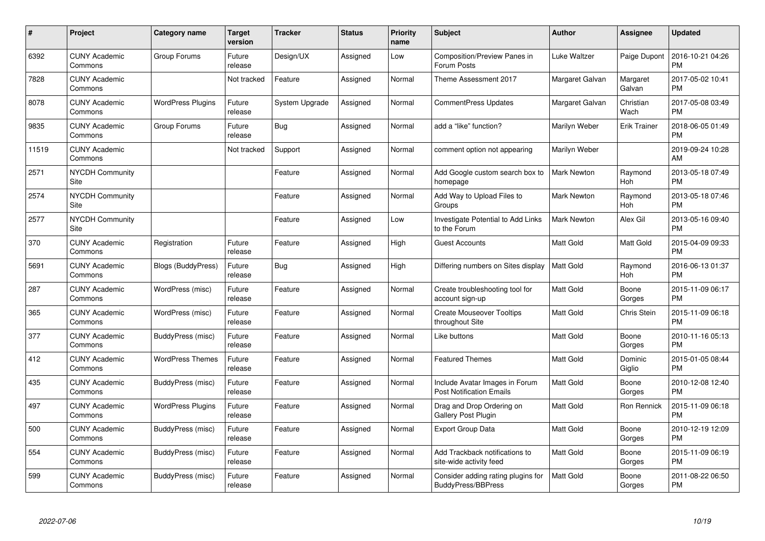| #     | Project                         | Category name            | <b>Target</b><br>version | <b>Tracker</b> | <b>Status</b> | <b>Priority</b><br>name | <b>Subject</b>                                                    | Author              | <b>Assignee</b>     | <b>Updated</b>                |
|-------|---------------------------------|--------------------------|--------------------------|----------------|---------------|-------------------------|-------------------------------------------------------------------|---------------------|---------------------|-------------------------------|
| 6392  | <b>CUNY Academic</b><br>Commons | Group Forums             | Future<br>release        | Design/UX      | Assigned      | Low                     | <b>Composition/Preview Panes in</b><br>Forum Posts                | <b>Luke Waltzer</b> | Paige Dupont        | 2016-10-21 04:26<br><b>PM</b> |
| 7828  | <b>CUNY Academic</b><br>Commons |                          | Not tracked              | Feature        | Assigned      | Normal                  | Theme Assessment 2017                                             | Margaret Galvan     | Margaret<br>Galvan  | 2017-05-02 10:41<br><b>PM</b> |
| 8078  | <b>CUNY Academic</b><br>Commons | <b>WordPress Plugins</b> | Future<br>release        | System Upgrade | Assigned      | Normal                  | <b>CommentPress Updates</b>                                       | Margaret Galvan     | Christian<br>Wach   | 2017-05-08 03:49<br><b>PM</b> |
| 9835  | <b>CUNY Academic</b><br>Commons | Group Forums             | Future<br>release        | Bug            | Assigned      | Normal                  | add a "like" function?                                            | Marilyn Weber       | <b>Erik Trainer</b> | 2018-06-05 01:49<br><b>PM</b> |
| 11519 | <b>CUNY Academic</b><br>Commons |                          | Not tracked              | Support        | Assigned      | Normal                  | comment option not appearing                                      | Marilyn Weber       |                     | 2019-09-24 10:28<br>AM        |
| 2571  | <b>NYCDH Community</b><br>Site  |                          |                          | Feature        | Assigned      | Normal                  | Add Google custom search box to<br>homepage                       | <b>Mark Newton</b>  | Raymond<br>Hoh      | 2013-05-18 07:49<br><b>PM</b> |
| 2574  | <b>NYCDH Community</b><br>Site  |                          |                          | Feature        | Assigned      | Normal                  | Add Way to Upload Files to<br>Groups                              | <b>Mark Newton</b>  | Raymond<br>Hoh      | 2013-05-18 07:46<br><b>PM</b> |
| 2577  | <b>NYCDH Community</b><br>Site  |                          |                          | Feature        | Assigned      | Low                     | Investigate Potential to Add Links<br>to the Forum                | <b>Mark Newton</b>  | Alex Gil            | 2013-05-16 09:40<br><b>PM</b> |
| 370   | <b>CUNY Academic</b><br>Commons | Registration             | Future<br>release        | Feature        | Assigned      | High                    | <b>Guest Accounts</b>                                             | <b>Matt Gold</b>    | Matt Gold           | 2015-04-09 09:33<br><b>PM</b> |
| 5691  | <b>CUNY Academic</b><br>Commons | Blogs (BuddyPress)       | Future<br>release        | <b>Bug</b>     | Assigned      | High                    | Differing numbers on Sites display                                | <b>Matt Gold</b>    | Raymond<br>Hoh      | 2016-06-13 01:37<br><b>PM</b> |
| 287   | <b>CUNY Academic</b><br>Commons | WordPress (misc)         | Future<br>release        | Feature        | Assigned      | Normal                  | Create troubleshooting tool for<br>account sign-up                | Matt Gold           | Boone<br>Gorges     | 2015-11-09 06:17<br><b>PM</b> |
| 365   | <b>CUNY Academic</b><br>Commons | WordPress (misc)         | Future<br>release        | Feature        | Assigned      | Normal                  | <b>Create Mouseover Tooltips</b><br>throughout Site               | <b>Matt Gold</b>    | Chris Stein         | 2015-11-09 06:18<br><b>PM</b> |
| 377   | <b>CUNY Academic</b><br>Commons | BuddyPress (misc)        | Future<br>release        | Feature        | Assigned      | Normal                  | Like buttons                                                      | <b>Matt Gold</b>    | Boone<br>Gorges     | 2010-11-16 05:13<br><b>PM</b> |
| 412   | <b>CUNY Academic</b><br>Commons | <b>WordPress Themes</b>  | Future<br>release        | Feature        | Assigned      | Normal                  | <b>Featured Themes</b>                                            | <b>Matt Gold</b>    | Dominic<br>Giglio   | 2015-01-05 08:44<br><b>PM</b> |
| 435   | <b>CUNY Academic</b><br>Commons | BuddyPress (misc)        | Future<br>release        | Feature        | Assigned      | Normal                  | Include Avatar Images in Forum<br><b>Post Notification Emails</b> | <b>Matt Gold</b>    | Boone<br>Gorges     | 2010-12-08 12:40<br><b>PM</b> |
| 497   | <b>CUNY Academic</b><br>Commons | <b>WordPress Plugins</b> | Future<br>release        | Feature        | Assigned      | Normal                  | Drag and Drop Ordering on<br><b>Gallery Post Plugin</b>           | <b>Matt Gold</b>    | Ron Rennick         | 2015-11-09 06:18<br><b>PM</b> |
| 500   | <b>CUNY Academic</b><br>Commons | BuddyPress (misc)        | Future<br>release        | Feature        | Assigned      | Normal                  | <b>Export Group Data</b>                                          | <b>Matt Gold</b>    | Boone<br>Gorges     | 2010-12-19 12:09<br><b>PM</b> |
| 554   | <b>CUNY Academic</b><br>Commons | BuddyPress (misc)        | Future<br>release        | Feature        | Assigned      | Normal                  | Add Trackback notifications to<br>site-wide activity feed         | <b>Matt Gold</b>    | Boone<br>Gorges     | 2015-11-09 06:19<br><b>PM</b> |
| 599   | <b>CUNY Academic</b><br>Commons | BuddyPress (misc)        | Future<br>release        | Feature        | Assigned      | Normal                  | Consider adding rating plugins for<br><b>BuddyPress/BBPress</b>   | <b>Matt Gold</b>    | Boone<br>Gorges     | 2011-08-22 06:50<br><b>PM</b> |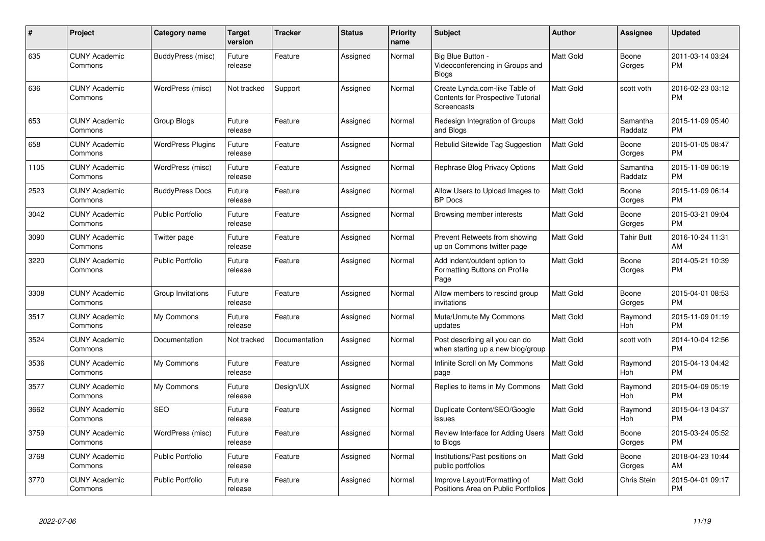| #    | Project                         | <b>Category name</b>     | <b>Target</b><br>version | <b>Tracker</b> | <b>Status</b> | <b>Priority</b><br>name | <b>Subject</b>                                                                            | <b>Author</b>    | <b>Assignee</b>     | <b>Updated</b>                |
|------|---------------------------------|--------------------------|--------------------------|----------------|---------------|-------------------------|-------------------------------------------------------------------------------------------|------------------|---------------------|-------------------------------|
| 635  | <b>CUNY Academic</b><br>Commons | BuddyPress (misc)        | Future<br>release        | Feature        | Assigned      | Normal                  | Big Blue Button -<br>Videoconferencing in Groups and<br><b>Blogs</b>                      | <b>Matt Gold</b> | Boone<br>Gorges     | 2011-03-14 03:24<br><b>PM</b> |
| 636  | <b>CUNY Academic</b><br>Commons | WordPress (misc)         | Not tracked              | Support        | Assigned      | Normal                  | Create Lynda.com-like Table of<br><b>Contents for Prospective Tutorial</b><br>Screencasts | <b>Matt Gold</b> | scott voth          | 2016-02-23 03:12<br><b>PM</b> |
| 653  | <b>CUNY Academic</b><br>Commons | Group Blogs              | Future<br>release        | Feature        | Assigned      | Normal                  | Redesign Integration of Groups<br>and Blogs                                               | Matt Gold        | Samantha<br>Raddatz | 2015-11-09 05:40<br><b>PM</b> |
| 658  | <b>CUNY Academic</b><br>Commons | <b>WordPress Plugins</b> | Future<br>release        | Feature        | Assigned      | Normal                  | Rebulid Sitewide Tag Suggestion                                                           | <b>Matt Gold</b> | Boone<br>Gorges     | 2015-01-05 08:47<br><b>PM</b> |
| 1105 | <b>CUNY Academic</b><br>Commons | WordPress (misc)         | Future<br>release        | Feature        | Assigned      | Normal                  | Rephrase Blog Privacy Options                                                             | <b>Matt Gold</b> | Samantha<br>Raddatz | 2015-11-09 06:19<br><b>PM</b> |
| 2523 | <b>CUNY Academic</b><br>Commons | <b>BuddyPress Docs</b>   | Future<br>release        | Feature        | Assigned      | Normal                  | Allow Users to Upload Images to<br><b>BP</b> Docs                                         | <b>Matt Gold</b> | Boone<br>Gorges     | 2015-11-09 06:14<br><b>PM</b> |
| 3042 | <b>CUNY Academic</b><br>Commons | <b>Public Portfolio</b>  | Future<br>release        | Feature        | Assigned      | Normal                  | Browsing member interests                                                                 | <b>Matt Gold</b> | Boone<br>Gorges     | 2015-03-21 09:04<br><b>PM</b> |
| 3090 | <b>CUNY Academic</b><br>Commons | Twitter page             | Future<br>release        | Feature        | Assigned      | Normal                  | Prevent Retweets from showing<br>up on Commons twitter page                               | <b>Matt Gold</b> | Tahir Butt          | 2016-10-24 11:31<br>AM        |
| 3220 | <b>CUNY Academic</b><br>Commons | <b>Public Portfolio</b>  | Future<br>release        | Feature        | Assigned      | Normal                  | Add indent/outdent option to<br>Formatting Buttons on Profile<br>Page                     | <b>Matt Gold</b> | Boone<br>Gorges     | 2014-05-21 10:39<br><b>PM</b> |
| 3308 | <b>CUNY Academic</b><br>Commons | Group Invitations        | Future<br>release        | Feature        | Assigned      | Normal                  | Allow members to rescind group<br>invitations                                             | <b>Matt Gold</b> | Boone<br>Gorges     | 2015-04-01 08:53<br><b>PM</b> |
| 3517 | <b>CUNY Academic</b><br>Commons | My Commons               | Future<br>release        | Feature        | Assigned      | Normal                  | Mute/Unmute My Commons<br>updates                                                         | <b>Matt Gold</b> | Raymond<br>Hoh      | 2015-11-09 01:19<br><b>PM</b> |
| 3524 | <b>CUNY Academic</b><br>Commons | Documentation            | Not tracked              | Documentation  | Assigned      | Normal                  | Post describing all you can do<br>when starting up a new blog/group                       | <b>Matt Gold</b> | scott voth          | 2014-10-04 12:56<br><b>PM</b> |
| 3536 | <b>CUNY Academic</b><br>Commons | My Commons               | Future<br>release        | Feature        | Assigned      | Normal                  | Infinite Scroll on My Commons<br>page                                                     | <b>Matt Gold</b> | Raymond<br>Hoh      | 2015-04-13 04:42<br><b>PM</b> |
| 3577 | <b>CUNY Academic</b><br>Commons | My Commons               | Future<br>release        | Design/UX      | Assigned      | Normal                  | Replies to items in My Commons                                                            | <b>Matt Gold</b> | Raymond<br>Hoh      | 2015-04-09 05:19<br><b>PM</b> |
| 3662 | <b>CUNY Academic</b><br>Commons | <b>SEO</b>               | Future<br>release        | Feature        | Assigned      | Normal                  | Duplicate Content/SEO/Google<br>issues                                                    | <b>Matt Gold</b> | Raymond<br>Hoh      | 2015-04-13 04:37<br><b>PM</b> |
| 3759 | <b>CUNY Academic</b><br>Commons | WordPress (misc)         | Future<br>release        | Feature        | Assigned      | Normal                  | Review Interface for Adding Users<br>to Blogs                                             | Matt Gold        | Boone<br>Gorges     | 2015-03-24 05:52<br><b>PM</b> |
| 3768 | <b>CUNY Academic</b><br>Commons | <b>Public Portfolio</b>  | Future<br>release        | Feature        | Assigned      | Normal                  | Institutions/Past positions on<br>public portfolios                                       | <b>Matt Gold</b> | Boone<br>Gorges     | 2018-04-23 10:44<br>AM        |
| 3770 | <b>CUNY Academic</b><br>Commons | Public Portfolio         | Future<br>release        | Feature        | Assigned      | Normal                  | Improve Layout/Formatting of<br>Positions Area on Public Portfolios                       | <b>Matt Gold</b> | Chris Stein         | 2015-04-01 09:17<br><b>PM</b> |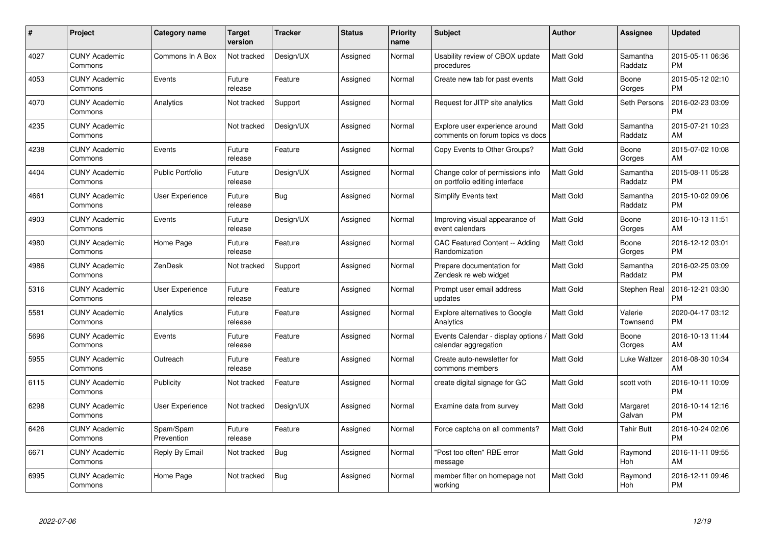| $\#$ | Project                         | <b>Category name</b>    | <b>Target</b><br>version | <b>Tracker</b> | <b>Status</b> | <b>Priority</b><br>name | <b>Subject</b>                                                     | <b>Author</b>    | <b>Assignee</b>     | <b>Updated</b>                |
|------|---------------------------------|-------------------------|--------------------------|----------------|---------------|-------------------------|--------------------------------------------------------------------|------------------|---------------------|-------------------------------|
| 4027 | <b>CUNY Academic</b><br>Commons | Commons In A Box        | Not tracked              | Design/UX      | Assigned      | Normal                  | Usability review of CBOX update<br>procedures                      | <b>Matt Gold</b> | Samantha<br>Raddatz | 2015-05-11 06:36<br><b>PM</b> |
| 4053 | <b>CUNY Academic</b><br>Commons | Events                  | Future<br>release        | Feature        | Assigned      | Normal                  | Create new tab for past events                                     | <b>Matt Gold</b> | Boone<br>Gorges     | 2015-05-12 02:10<br><b>PM</b> |
| 4070 | <b>CUNY Academic</b><br>Commons | Analytics               | Not tracked              | Support        | Assigned      | Normal                  | Request for JITP site analytics                                    | Matt Gold        | Seth Persons        | 2016-02-23 03:09<br><b>PM</b> |
| 4235 | <b>CUNY Academic</b><br>Commons |                         | Not tracked              | Design/UX      | Assigned      | Normal                  | Explore user experience around<br>comments on forum topics vs docs | <b>Matt Gold</b> | Samantha<br>Raddatz | 2015-07-21 10:23<br>AM        |
| 4238 | <b>CUNY Academic</b><br>Commons | Events                  | Future<br>release        | Feature        | Assigned      | Normal                  | Copy Events to Other Groups?                                       | <b>Matt Gold</b> | Boone<br>Gorges     | 2015-07-02 10:08<br>AM        |
| 4404 | <b>CUNY Academic</b><br>Commons | <b>Public Portfolio</b> | Future<br>release        | Design/UX      | Assigned      | Normal                  | Change color of permissions info<br>on portfolio editing interface | <b>Matt Gold</b> | Samantha<br>Raddatz | 2015-08-11 05:28<br><b>PM</b> |
| 4661 | <b>CUNY Academic</b><br>Commons | User Experience         | Future<br>release        | Bug            | Assigned      | Normal                  | <b>Simplify Events text</b>                                        | <b>Matt Gold</b> | Samantha<br>Raddatz | 2015-10-02 09:06<br><b>PM</b> |
| 4903 | <b>CUNY Academic</b><br>Commons | Events                  | Future<br>release        | Design/UX      | Assigned      | Normal                  | Improving visual appearance of<br>event calendars                  | <b>Matt Gold</b> | Boone<br>Gorges     | 2016-10-13 11:51<br>AM        |
| 4980 | <b>CUNY Academic</b><br>Commons | Home Page               | Future<br>release        | Feature        | Assigned      | Normal                  | CAC Featured Content -- Adding<br>Randomization                    | Matt Gold        | Boone<br>Gorges     | 2016-12-12 03:01<br><b>PM</b> |
| 4986 | <b>CUNY Academic</b><br>Commons | ZenDesk                 | Not tracked              | Support        | Assigned      | Normal                  | Prepare documentation for<br>Zendesk re web widget                 | <b>Matt Gold</b> | Samantha<br>Raddatz | 2016-02-25 03:09<br>PM        |
| 5316 | <b>CUNY Academic</b><br>Commons | User Experience         | Future<br>release        | Feature        | Assigned      | Normal                  | Prompt user email address<br>updates                               | Matt Gold        | Stephen Real        | 2016-12-21 03:30<br><b>PM</b> |
| 5581 | <b>CUNY Academic</b><br>Commons | Analytics               | Future<br>release        | Feature        | Assigned      | Normal                  | Explore alternatives to Google<br>Analytics                        | Matt Gold        | Valerie<br>Townsend | 2020-04-17 03:12<br><b>PM</b> |
| 5696 | <b>CUNY Academic</b><br>Commons | Events                  | Future<br>release        | Feature        | Assigned      | Normal                  | Events Calendar - display options /<br>calendar aggregation        | Matt Gold        | Boone<br>Gorges     | 2016-10-13 11:44<br>AM        |
| 5955 | <b>CUNY Academic</b><br>Commons | Outreach                | Future<br>release        | Feature        | Assigned      | Normal                  | Create auto-newsletter for<br>commons members                      | <b>Matt Gold</b> | Luke Waltzer        | 2016-08-30 10:34<br>AM        |
| 6115 | <b>CUNY Academic</b><br>Commons | Publicity               | Not tracked              | Feature        | Assigned      | Normal                  | create digital signage for GC                                      | Matt Gold        | scott voth          | 2016-10-11 10:09<br><b>PM</b> |
| 6298 | <b>CUNY Academic</b><br>Commons | User Experience         | Not tracked              | Design/UX      | Assigned      | Normal                  | Examine data from survey                                           | <b>Matt Gold</b> | Margaret<br>Galvan  | 2016-10-14 12:16<br><b>PM</b> |
| 6426 | <b>CUNY Academic</b><br>Commons | Spam/Spam<br>Prevention | Future<br>release        | Feature        | Assigned      | Normal                  | Force captcha on all comments?                                     | <b>Matt Gold</b> | <b>Tahir Butt</b>   | 2016-10-24 02:06<br><b>PM</b> |
| 6671 | <b>CUNY Academic</b><br>Commons | Reply By Email          | Not tracked              | Bug            | Assigned      | Normal                  | "Post too often" RBE error<br>message                              | Matt Gold        | Raymond<br>Hoh      | 2016-11-11 09:55<br>AM        |
| 6995 | <b>CUNY Academic</b><br>Commons | Home Page               | Not tracked              | <b>Bug</b>     | Assigned      | Normal                  | member filter on homepage not<br>working                           | <b>Matt Gold</b> | Raymond<br>Hoh      | 2016-12-11 09:46<br><b>PM</b> |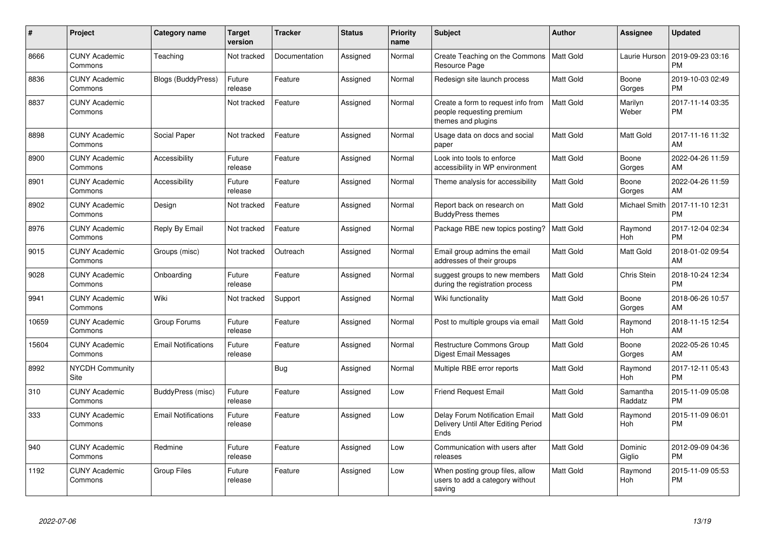| #     | <b>Project</b>                  | Category name              | <b>Target</b><br>version | <b>Tracker</b> | <b>Status</b> | <b>Priority</b><br>name | <b>Subject</b>                                                                        | Author           | Assignee            | <b>Updated</b>                |
|-------|---------------------------------|----------------------------|--------------------------|----------------|---------------|-------------------------|---------------------------------------------------------------------------------------|------------------|---------------------|-------------------------------|
| 8666  | <b>CUNY Academic</b><br>Commons | Teaching                   | Not tracked              | Documentation  | Assigned      | Normal                  | Create Teaching on the Commons   Matt Gold<br>Resource Page                           |                  | Laurie Hurson       | 2019-09-23 03:16<br><b>PM</b> |
| 8836  | <b>CUNY Academic</b><br>Commons | Blogs (BuddyPress)         | Future<br>release        | Feature        | Assigned      | Normal                  | Redesign site launch process                                                          | <b>Matt Gold</b> | Boone<br>Gorges     | 2019-10-03 02:49<br><b>PM</b> |
| 8837  | <b>CUNY Academic</b><br>Commons |                            | Not tracked              | Feature        | Assigned      | Normal                  | Create a form to request info from<br>people requesting premium<br>themes and plugins | <b>Matt Gold</b> | Marilyn<br>Weber    | 2017-11-14 03:35<br><b>PM</b> |
| 8898  | <b>CUNY Academic</b><br>Commons | Social Paper               | Not tracked              | Feature        | Assigned      | Normal                  | Usage data on docs and social<br>paper                                                | <b>Matt Gold</b> | Matt Gold           | 2017-11-16 11:32<br>AM        |
| 8900  | <b>CUNY Academic</b><br>Commons | Accessibility              | Future<br>release        | Feature        | Assigned      | Normal                  | Look into tools to enforce<br>accessibility in WP environment                         | <b>Matt Gold</b> | Boone<br>Gorges     | 2022-04-26 11:59<br>AM        |
| 8901  | <b>CUNY Academic</b><br>Commons | Accessibility              | Future<br>release        | Feature        | Assigned      | Normal                  | Theme analysis for accessibility                                                      | <b>Matt Gold</b> | Boone<br>Gorges     | 2022-04-26 11:59<br>AM        |
| 8902  | <b>CUNY Academic</b><br>Commons | Design                     | Not tracked              | Feature        | Assigned      | Normal                  | Report back on research on<br><b>BuddyPress themes</b>                                | <b>Matt Gold</b> | Michael Smith       | 2017-11-10 12:31<br><b>PM</b> |
| 8976  | <b>CUNY Academic</b><br>Commons | Reply By Email             | Not tracked              | Feature        | Assigned      | Normal                  | Package RBE new topics posting?                                                       | <b>Matt Gold</b> | Raymond<br>Hoh      | 2017-12-04 02:34<br><b>PM</b> |
| 9015  | <b>CUNY Academic</b><br>Commons | Groups (misc)              | Not tracked              | Outreach       | Assigned      | Normal                  | Email group admins the email<br>addresses of their groups                             | <b>Matt Gold</b> | Matt Gold           | 2018-01-02 09:54<br>AM        |
| 9028  | <b>CUNY Academic</b><br>Commons | Onboarding                 | Future<br>release        | Feature        | Assigned      | Normal                  | suggest groups to new members<br>during the registration process                      | <b>Matt Gold</b> | Chris Stein         | 2018-10-24 12:34<br><b>PM</b> |
| 9941  | <b>CUNY Academic</b><br>Commons | Wiki                       | Not tracked              | Support        | Assigned      | Normal                  | Wiki functionality                                                                    | Matt Gold        | Boone<br>Gorges     | 2018-06-26 10:57<br>AM        |
| 10659 | <b>CUNY Academic</b><br>Commons | Group Forums               | Future<br>release        | Feature        | Assigned      | Normal                  | Post to multiple groups via email                                                     | <b>Matt Gold</b> | Raymond<br>Hoh      | 2018-11-15 12:54<br>AM        |
| 15604 | <b>CUNY Academic</b><br>Commons | <b>Email Notifications</b> | Future<br>release        | Feature        | Assigned      | Normal                  | <b>Restructure Commons Group</b><br>Digest Email Messages                             | <b>Matt Gold</b> | Boone<br>Gorges     | 2022-05-26 10:45<br>AM        |
| 8992  | <b>NYCDH Community</b><br>Site  |                            |                          | Bug            | Assigned      | Normal                  | Multiple RBE error reports                                                            | <b>Matt Gold</b> | Raymond<br>Hoh      | 2017-12-11 05:43<br><b>PM</b> |
| 310   | <b>CUNY Academic</b><br>Commons | BuddyPress (misc)          | Future<br>release        | Feature        | Assigned      | Low                     | <b>Friend Request Email</b>                                                           | <b>Matt Gold</b> | Samantha<br>Raddatz | 2015-11-09 05:08<br><b>PM</b> |
| 333   | <b>CUNY Academic</b><br>Commons | <b>Email Notifications</b> | Future<br>release        | Feature        | Assigned      | Low                     | Delay Forum Notification Email<br>Delivery Until After Editing Period<br>Ends         | <b>Matt Gold</b> | Raymond<br>Hoh      | 2015-11-09 06:01<br><b>PM</b> |
| 940   | <b>CUNY Academic</b><br>Commons | Redmine                    | Future<br>release        | Feature        | Assigned      | Low                     | Communication with users after<br>releases                                            | Matt Gold        | Dominic<br>Giglio   | 2012-09-09 04:36<br><b>PM</b> |
| 1192  | <b>CUNY Academic</b><br>Commons | <b>Group Files</b>         | Future<br>release        | Feature        | Assigned      | Low                     | When posting group files, allow<br>users to add a category without<br>saving          | <b>Matt Gold</b> | Raymond<br>Hoh      | 2015-11-09 05:53<br><b>PM</b> |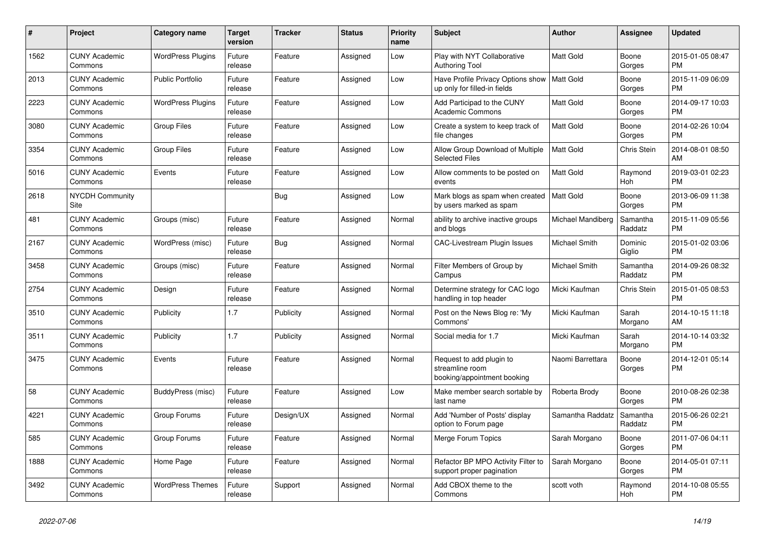| #    | <b>Project</b>                  | Category name            | <b>Target</b><br>version | <b>Tracker</b> | <b>Status</b> | <b>Priority</b><br>name | <b>Subject</b>                                                             | <b>Author</b>        | Assignee            | <b>Updated</b>                |
|------|---------------------------------|--------------------------|--------------------------|----------------|---------------|-------------------------|----------------------------------------------------------------------------|----------------------|---------------------|-------------------------------|
| 1562 | <b>CUNY Academic</b><br>Commons | <b>WordPress Plugins</b> | Future<br>release        | Feature        | Assigned      | Low                     | Play with NYT Collaborative<br><b>Authoring Tool</b>                       | <b>Matt Gold</b>     | Boone<br>Gorges     | 2015-01-05 08:47<br><b>PM</b> |
| 2013 | <b>CUNY Academic</b><br>Commons | Public Portfolio         | Future<br>release        | Feature        | Assigned      | Low                     | Have Profile Privacy Options show<br>up only for filled-in fields          | Matt Gold            | Boone<br>Gorges     | 2015-11-09 06:09<br><b>PM</b> |
| 2223 | <b>CUNY Academic</b><br>Commons | <b>WordPress Plugins</b> | Future<br>release        | Feature        | Assigned      | Low                     | Add Participad to the CUNY<br><b>Academic Commons</b>                      | Matt Gold            | Boone<br>Gorges     | 2014-09-17 10:03<br><b>PM</b> |
| 3080 | <b>CUNY Academic</b><br>Commons | <b>Group Files</b>       | Future<br>release        | Feature        | Assigned      | Low                     | Create a system to keep track of<br>file changes                           | Matt Gold            | Boone<br>Gorges     | 2014-02-26 10:04<br><b>PM</b> |
| 3354 | <b>CUNY Academic</b><br>Commons | <b>Group Files</b>       | Future<br>release        | Feature        | Assigned      | Low                     | Allow Group Download of Multiple<br><b>Selected Files</b>                  | Matt Gold            | Chris Stein         | 2014-08-01 08:50<br>AM        |
| 5016 | <b>CUNY Academic</b><br>Commons | Events                   | Future<br>release        | Feature        | Assigned      | Low                     | Allow comments to be posted on<br>events                                   | <b>Matt Gold</b>     | Raymond<br>Hoh      | 2019-03-01 02:23<br><b>PM</b> |
| 2618 | <b>NYCDH Community</b><br>Site  |                          |                          | Bug            | Assigned      | Low                     | Mark blogs as spam when created<br>by users marked as spam                 | Matt Gold            | Boone<br>Gorges     | 2013-06-09 11:38<br><b>PM</b> |
| 481  | <b>CUNY Academic</b><br>Commons | Groups (misc)            | Future<br>release        | Feature        | Assigned      | Normal                  | ability to archive inactive groups<br>and blogs                            | Michael Mandiberg    | Samantha<br>Raddatz | 2015-11-09 05:56<br><b>PM</b> |
| 2167 | <b>CUNY Academic</b><br>Commons | WordPress (misc)         | Future<br>release        | <b>Bug</b>     | Assigned      | Normal                  | <b>CAC-Livestream Plugin Issues</b>                                        | Michael Smith        | Dominic<br>Giglio   | 2015-01-02 03:06<br><b>PM</b> |
| 3458 | <b>CUNY Academic</b><br>Commons | Groups (misc)            | Future<br>release        | Feature        | Assigned      | Normal                  | Filter Members of Group by<br>Campus                                       | <b>Michael Smith</b> | Samantha<br>Raddatz | 2014-09-26 08:32<br><b>PM</b> |
| 2754 | <b>CUNY Academic</b><br>Commons | Design                   | Future<br>release        | Feature        | Assigned      | Normal                  | Determine strategy for CAC logo<br>handling in top header                  | Micki Kaufman        | Chris Stein         | 2015-01-05 08:53<br><b>PM</b> |
| 3510 | <b>CUNY Academic</b><br>Commons | Publicity                | 1.7                      | Publicity      | Assigned      | Normal                  | Post on the News Blog re: 'My<br>Commons'                                  | Micki Kaufman        | Sarah<br>Morgano    | 2014-10-15 11:18<br>AM        |
| 3511 | <b>CUNY Academic</b><br>Commons | Publicity                | 1.7                      | Publicity      | Assigned      | Normal                  | Social media for 1.7                                                       | Micki Kaufman        | Sarah<br>Morgano    | 2014-10-14 03:32<br><b>PM</b> |
| 3475 | <b>CUNY Academic</b><br>Commons | Events                   | Future<br>release        | Feature        | Assigned      | Normal                  | Request to add plugin to<br>streamline room<br>booking/appointment booking | Naomi Barrettara     | Boone<br>Gorges     | 2014-12-01 05:14<br>PM        |
| 58   | <b>CUNY Academic</b><br>Commons | BuddyPress (misc)        | Future<br>release        | Feature        | Assigned      | Low                     | Make member search sortable by<br>last name                                | Roberta Brody        | Boone<br>Gorges     | 2010-08-26 02:38<br><b>PM</b> |
| 4221 | <b>CUNY Academic</b><br>Commons | Group Forums             | Future<br>release        | Design/UX      | Assigned      | Normal                  | Add 'Number of Posts' display<br>option to Forum page                      | Samantha Raddatz     | Samantha<br>Raddatz | 2015-06-26 02:21<br><b>PM</b> |
| 585  | <b>CUNY Academic</b><br>Commons | Group Forums             | Future<br>release        | Feature        | Assigned      | Normal                  | Merge Forum Topics                                                         | Sarah Morgano        | Boone<br>Gorges     | 2011-07-06 04:11<br><b>PM</b> |
| 1888 | <b>CUNY Academic</b><br>Commons | Home Page                | Future<br>release        | Feature        | Assigned      | Normal                  | Refactor BP MPO Activity Filter to<br>support proper pagination            | Sarah Morgano        | Boone<br>Gorges     | 2014-05-01 07:11<br><b>PM</b> |
| 3492 | <b>CUNY Academic</b><br>Commons | <b>WordPress Themes</b>  | Future<br>release        | Support        | Assigned      | Normal                  | Add CBOX theme to the<br>Commons                                           | scott voth           | Raymond<br>Hoh      | 2014-10-08 05:55<br><b>PM</b> |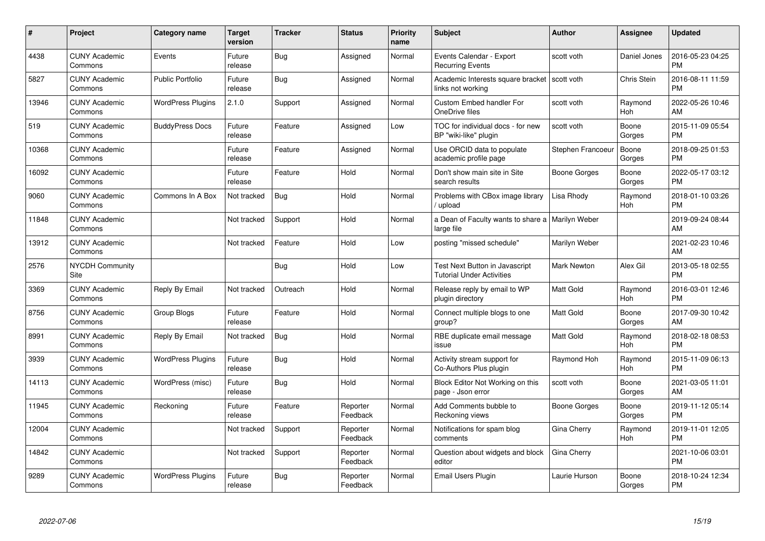| #     | Project                         | Category name            | <b>Target</b><br>version | <b>Tracker</b> | <b>Status</b>        | <b>Priority</b><br>name | <b>Subject</b>                                                            | Author             | <b>Assignee</b>    | <b>Updated</b>                |
|-------|---------------------------------|--------------------------|--------------------------|----------------|----------------------|-------------------------|---------------------------------------------------------------------------|--------------------|--------------------|-------------------------------|
| 4438  | <b>CUNY Academic</b><br>Commons | Events                   | Future<br>release        | <b>Bug</b>     | Assigned             | Normal                  | Events Calendar - Export<br><b>Recurring Events</b>                       | scott voth         | Daniel Jones       | 2016-05-23 04:25<br><b>PM</b> |
| 5827  | <b>CUNY Academic</b><br>Commons | <b>Public Portfolio</b>  | Future<br>release        | Bug            | Assigned             | Normal                  | Academic Interests square bracket   scott voth<br>links not working       |                    | <b>Chris Stein</b> | 2016-08-11 11:59<br><b>PM</b> |
| 13946 | <b>CUNY Academic</b><br>Commons | <b>WordPress Plugins</b> | 2.1.0                    | Support        | Assigned             | Normal                  | <b>Custom Embed handler For</b><br>OneDrive files                         | scott voth         | Raymond<br>Hoh     | 2022-05-26 10:46<br>AM        |
| 519   | <b>CUNY Academic</b><br>Commons | <b>BuddyPress Docs</b>   | Future<br>release        | Feature        | Assigned             | Low                     | TOC for individual docs - for new<br>BP "wiki-like" plugin                | scott voth         | Boone<br>Gorges    | 2015-11-09 05:54<br><b>PM</b> |
| 10368 | <b>CUNY Academic</b><br>Commons |                          | Future<br>release        | Feature        | Assigned             | Normal                  | Use ORCID data to populate<br>academic profile page                       | Stephen Francoeur  | Boone<br>Gorges    | 2018-09-25 01:53<br><b>PM</b> |
| 16092 | <b>CUNY Academic</b><br>Commons |                          | Future<br>release        | Feature        | Hold                 | Normal                  | Don't show main site in Site<br>search results                            | Boone Gorges       | Boone<br>Gorges    | 2022-05-17 03:12<br><b>PM</b> |
| 9060  | <b>CUNY Academic</b><br>Commons | Commons In A Box         | Not tracked              | Bug            | Hold                 | Normal                  | Problems with CBox image library<br>/ upload                              | Lisa Rhody         | Raymond<br>Hoh     | 2018-01-10 03:26<br><b>PM</b> |
| 11848 | <b>CUNY Academic</b><br>Commons |                          | Not tracked              | Support        | Hold                 | Normal                  | a Dean of Faculty wants to share a   Marilyn Weber<br>large file          |                    |                    | 2019-09-24 08:44<br>AM        |
| 13912 | <b>CUNY Academic</b><br>Commons |                          | Not tracked              | Feature        | Hold                 | Low                     | posting "missed schedule"                                                 | Marilyn Weber      |                    | 2021-02-23 10:46<br>AM        |
| 2576  | <b>NYCDH Community</b><br>Site  |                          |                          | <b>Bug</b>     | Hold                 | Low                     | <b>Test Next Button in Javascript</b><br><b>Tutorial Under Activities</b> | <b>Mark Newton</b> | Alex Gil           | 2013-05-18 02:55<br><b>PM</b> |
| 3369  | <b>CUNY Academic</b><br>Commons | Reply By Email           | Not tracked              | Outreach       | Hold                 | Normal                  | Release reply by email to WP<br>plugin directory                          | Matt Gold          | Raymond<br>Hoh     | 2016-03-01 12:46<br><b>PM</b> |
| 8756  | <b>CUNY Academic</b><br>Commons | Group Blogs              | Future<br>release        | Feature        | Hold                 | Normal                  | Connect multiple blogs to one<br>group?                                   | <b>Matt Gold</b>   | Boone<br>Gorges    | 2017-09-30 10:42<br>AM        |
| 8991  | <b>CUNY Academic</b><br>Commons | Reply By Email           | Not tracked              | <b>Bug</b>     | Hold                 | Normal                  | RBE duplicate email message<br>issue                                      | <b>Matt Gold</b>   | Raymond<br>Hoh     | 2018-02-18 08:53<br><b>PM</b> |
| 3939  | <b>CUNY Academic</b><br>Commons | <b>WordPress Plugins</b> | Future<br>release        | Bug            | Hold                 | Normal                  | Activity stream support for<br>Co-Authors Plus plugin                     | Raymond Hoh        | Raymond<br>Hoh     | 2015-11-09 06:13<br><b>PM</b> |
| 14113 | <b>CUNY Academic</b><br>Commons | WordPress (misc)         | Future<br>release        | Bug            | Hold                 | Normal                  | Block Editor Not Working on this<br>page - Json error                     | scott voth         | Boone<br>Gorges    | 2021-03-05 11:01<br>AM        |
| 11945 | <b>CUNY Academic</b><br>Commons | Reckoning                | Future<br>release        | Feature        | Reporter<br>Feedback | Normal                  | Add Comments bubble to<br>Reckoning views                                 | Boone Gorges       | Boone<br>Gorges    | 2019-11-12 05:14<br><b>PM</b> |
| 12004 | <b>CUNY Academic</b><br>Commons |                          | Not tracked              | Support        | Reporter<br>Feedback | Normal                  | Notifications for spam blog<br>comments                                   | Gina Cherry        | Raymond<br>Hoh     | 2019-11-01 12:05<br><b>PM</b> |
| 14842 | <b>CUNY Academic</b><br>Commons |                          | Not tracked              | Support        | Reporter<br>Feedback | Normal                  | Question about widgets and block<br>editor                                | Gina Cherry        |                    | 2021-10-06 03:01<br><b>PM</b> |
| 9289  | <b>CUNY Academic</b><br>Commons | <b>WordPress Plugins</b> | Future<br>release        | Bug            | Reporter<br>Feedback | Normal                  | Email Users Plugin                                                        | Laurie Hurson      | Boone<br>Gorges    | 2018-10-24 12:34<br><b>PM</b> |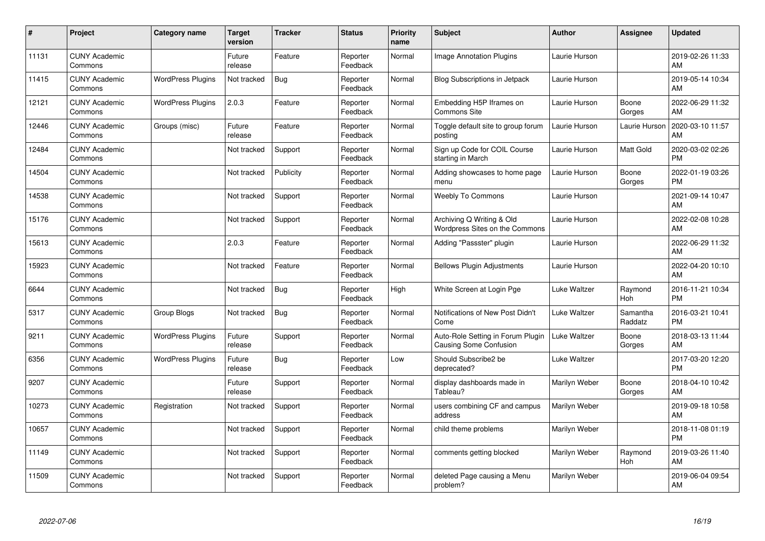| #     | Project                         | Category name            | <b>Target</b><br>version | <b>Tracker</b> | <b>Status</b>        | <b>Priority</b><br>name | <b>Subject</b>                                                     | <b>Author</b> | <b>Assignee</b>     | <b>Updated</b>                |
|-------|---------------------------------|--------------------------|--------------------------|----------------|----------------------|-------------------------|--------------------------------------------------------------------|---------------|---------------------|-------------------------------|
| 11131 | <b>CUNY Academic</b><br>Commons |                          | Future<br>release        | Feature        | Reporter<br>Feedback | Normal                  | <b>Image Annotation Plugins</b>                                    | Laurie Hurson |                     | 2019-02-26 11:33<br>AM        |
| 11415 | <b>CUNY Academic</b><br>Commons | <b>WordPress Plugins</b> | Not tracked              | Bug            | Reporter<br>Feedback | Normal                  | <b>Blog Subscriptions in Jetpack</b>                               | Laurie Hurson |                     | 2019-05-14 10:34<br>AM        |
| 12121 | <b>CUNY Academic</b><br>Commons | <b>WordPress Plugins</b> | 2.0.3                    | Feature        | Reporter<br>Feedback | Normal                  | Embedding H5P Iframes on<br><b>Commons Site</b>                    | Laurie Hurson | Boone<br>Gorges     | 2022-06-29 11:32<br>AM        |
| 12446 | <b>CUNY Academic</b><br>Commons | Groups (misc)            | Future<br>release        | Feature        | Reporter<br>Feedback | Normal                  | Toggle default site to group forum<br>posting                      | Laurie Hurson | Laurie Hurson       | 2020-03-10 11:57<br>AM        |
| 12484 | <b>CUNY Academic</b><br>Commons |                          | Not tracked              | Support        | Reporter<br>Feedback | Normal                  | Sign up Code for COIL Course<br>starting in March                  | Laurie Hurson | Matt Gold           | 2020-03-02 02:26<br><b>PM</b> |
| 14504 | <b>CUNY Academic</b><br>Commons |                          | Not tracked              | Publicity      | Reporter<br>Feedback | Normal                  | Adding showcases to home page<br>menu                              | Laurie Hurson | Boone<br>Gorges     | 2022-01-19 03:26<br><b>PM</b> |
| 14538 | <b>CUNY Academic</b><br>Commons |                          | Not tracked              | Support        | Reporter<br>Feedback | Normal                  | <b>Weebly To Commons</b>                                           | Laurie Hurson |                     | 2021-09-14 10:47<br>AM        |
| 15176 | <b>CUNY Academic</b><br>Commons |                          | Not tracked              | Support        | Reporter<br>Feedback | Normal                  | Archiving Q Writing & Old<br>Wordpress Sites on the Commons        | Laurie Hurson |                     | 2022-02-08 10:28<br>AM        |
| 15613 | <b>CUNY Academic</b><br>Commons |                          | 2.0.3                    | Feature        | Reporter<br>Feedback | Normal                  | Adding "Passster" plugin                                           | Laurie Hurson |                     | 2022-06-29 11:32<br>AM        |
| 15923 | <b>CUNY Academic</b><br>Commons |                          | Not tracked              | Feature        | Reporter<br>Feedback | Normal                  | <b>Bellows Plugin Adjustments</b>                                  | Laurie Hurson |                     | 2022-04-20 10:10<br>AM        |
| 6644  | <b>CUNY Academic</b><br>Commons |                          | Not tracked              | <b>Bug</b>     | Reporter<br>Feedback | High                    | White Screen at Login Pge                                          | Luke Waltzer  | Raymond<br>Hoh      | 2016-11-21 10:34<br><b>PM</b> |
| 5317  | <b>CUNY Academic</b><br>Commons | Group Blogs              | Not tracked              | Bug            | Reporter<br>Feedback | Normal                  | Notifications of New Post Didn't<br>Come                           | Luke Waltzer  | Samantha<br>Raddatz | 2016-03-21 10:41<br><b>PM</b> |
| 9211  | <b>CUNY Academic</b><br>Commons | <b>WordPress Plugins</b> | Future<br>release        | Support        | Reporter<br>Feedback | Normal                  | Auto-Role Setting in Forum Plugin<br><b>Causing Some Confusion</b> | Luke Waltzer  | Boone<br>Gorges     | 2018-03-13 11:44<br>AM        |
| 6356  | <b>CUNY Academic</b><br>Commons | <b>WordPress Plugins</b> | Future<br>release        | Bug            | Reporter<br>Feedback | Low                     | Should Subscribe2 be<br>deprecated?                                | Luke Waltzer  |                     | 2017-03-20 12:20<br><b>PM</b> |
| 9207  | <b>CUNY Academic</b><br>Commons |                          | Future<br>release        | Support        | Reporter<br>Feedback | Normal                  | display dashboards made in<br>Tableau?                             | Marilyn Weber | Boone<br>Gorges     | 2018-04-10 10:42<br>AM        |
| 10273 | <b>CUNY Academic</b><br>Commons | Registration             | Not tracked              | Support        | Reporter<br>Feedback | Normal                  | users combining CF and campus<br>address                           | Marilyn Weber |                     | 2019-09-18 10:58<br>AM        |
| 10657 | <b>CUNY Academic</b><br>Commons |                          | Not tracked              | Support        | Reporter<br>Feedback | Normal                  | child theme problems                                               | Marilyn Weber |                     | 2018-11-08 01:19<br><b>PM</b> |
| 11149 | <b>CUNY Academic</b><br>Commons |                          | Not tracked              | Support        | Reporter<br>Feedback | Normal                  | comments getting blocked                                           | Marilyn Weber | Raymond<br>Hoh      | 2019-03-26 11:40<br>AM        |
| 11509 | <b>CUNY Academic</b><br>Commons |                          | Not tracked              | Support        | Reporter<br>Feedback | Normal                  | deleted Page causing a Menu<br>problem?                            | Marilyn Weber |                     | 2019-06-04 09:54<br>AM        |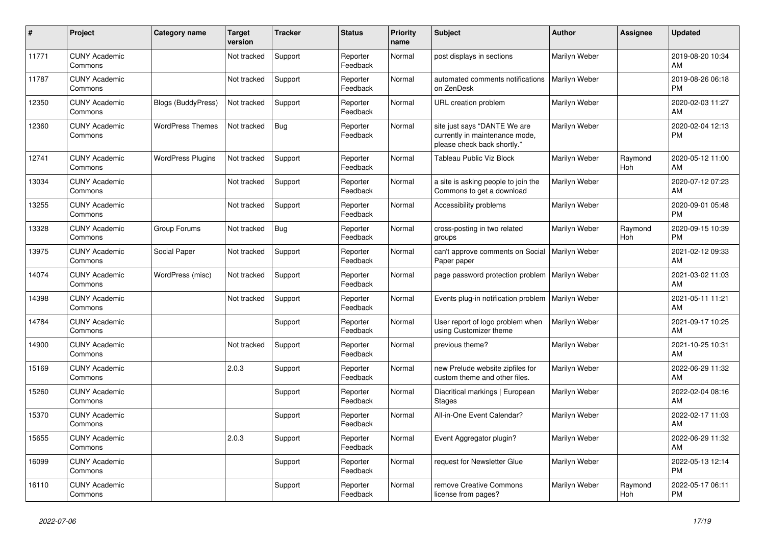| #     | Project                         | Category name             | <b>Target</b><br>version | <b>Tracker</b> | <b>Status</b>        | Priority<br>name | <b>Subject</b>                                                                                | <b>Author</b> | Assignee       | <b>Updated</b>                |
|-------|---------------------------------|---------------------------|--------------------------|----------------|----------------------|------------------|-----------------------------------------------------------------------------------------------|---------------|----------------|-------------------------------|
| 11771 | <b>CUNY Academic</b><br>Commons |                           | Not tracked              | Support        | Reporter<br>Feedback | Normal           | post displays in sections                                                                     | Marilyn Weber |                | 2019-08-20 10:34<br>AM        |
| 11787 | <b>CUNY Academic</b><br>Commons |                           | Not tracked              | Support        | Reporter<br>Feedback | Normal           | automated comments notifications<br>on ZenDesk                                                | Marilyn Weber |                | 2019-08-26 06:18<br><b>PM</b> |
| 12350 | <b>CUNY Academic</b><br>Commons | <b>Blogs (BuddyPress)</b> | Not tracked              | Support        | Reporter<br>Feedback | Normal           | URL creation problem                                                                          | Marilyn Weber |                | 2020-02-03 11:27<br>AM        |
| 12360 | <b>CUNY Academic</b><br>Commons | <b>WordPress Themes</b>   | Not tracked              | <b>Bug</b>     | Reporter<br>Feedback | Normal           | site just says "DANTE We are<br>currently in maintenance mode,<br>please check back shortly." | Marilyn Weber |                | 2020-02-04 12:13<br><b>PM</b> |
| 12741 | <b>CUNY Academic</b><br>Commons | <b>WordPress Plugins</b>  | Not tracked              | Support        | Reporter<br>Feedback | Normal           | Tableau Public Viz Block                                                                      | Marilyn Weber | Raymond<br>Hoh | 2020-05-12 11:00<br>AM        |
| 13034 | <b>CUNY Academic</b><br>Commons |                           | Not tracked              | Support        | Reporter<br>Feedback | Normal           | a site is asking people to join the<br>Commons to get a download                              | Marilyn Weber |                | 2020-07-12 07:23<br>AM        |
| 13255 | <b>CUNY Academic</b><br>Commons |                           | Not tracked              | Support        | Reporter<br>Feedback | Normal           | Accessibility problems                                                                        | Marilyn Weber |                | 2020-09-01 05:48<br><b>PM</b> |
| 13328 | <b>CUNY Academic</b><br>Commons | Group Forums              | Not tracked              | <b>Bug</b>     | Reporter<br>Feedback | Normal           | cross-posting in two related<br>groups                                                        | Marilyn Weber | Raymond<br>Hoh | 2020-09-15 10:39<br><b>PM</b> |
| 13975 | <b>CUNY Academic</b><br>Commons | Social Paper              | Not tracked              | Support        | Reporter<br>Feedback | Normal           | can't approve comments on Social<br>Paper paper                                               | Marilyn Weber |                | 2021-02-12 09:33<br>AM        |
| 14074 | <b>CUNY Academic</b><br>Commons | WordPress (misc)          | Not tracked              | Support        | Reporter<br>Feedback | Normal           | page password protection problem                                                              | Marilyn Weber |                | 2021-03-02 11:03<br>AM        |
| 14398 | <b>CUNY Academic</b><br>Commons |                           | Not tracked              | Support        | Reporter<br>Feedback | Normal           | Events plug-in notification problem   Marilyn Weber                                           |               |                | 2021-05-11 11:21<br>AM        |
| 14784 | <b>CUNY Academic</b><br>Commons |                           |                          | Support        | Reporter<br>Feedback | Normal           | User report of logo problem when<br>using Customizer theme                                    | Marilyn Weber |                | 2021-09-17 10:25<br>AM        |
| 14900 | <b>CUNY Academic</b><br>Commons |                           | Not tracked              | Support        | Reporter<br>Feedback | Normal           | previous theme?                                                                               | Marilyn Weber |                | 2021-10-25 10:31<br>AM        |
| 15169 | <b>CUNY Academic</b><br>Commons |                           | 2.0.3                    | Support        | Reporter<br>Feedback | Normal           | new Prelude website zipfiles for<br>custom theme and other files.                             | Marilyn Weber |                | 2022-06-29 11:32<br>AM        |
| 15260 | <b>CUNY Academic</b><br>Commons |                           |                          | Support        | Reporter<br>Feedback | Normal           | Diacritical markings   European<br>Stages                                                     | Marilyn Weber |                | 2022-02-04 08:16<br>AM        |
| 15370 | <b>CUNY Academic</b><br>Commons |                           |                          | Support        | Reporter<br>Feedback | Normal           | All-in-One Event Calendar?                                                                    | Marilyn Weber |                | 2022-02-17 11:03<br>AM        |
| 15655 | <b>CUNY Academic</b><br>Commons |                           | 2.0.3                    | Support        | Reporter<br>Feedback | Normal           | Event Aggregator plugin?                                                                      | Marilyn Weber |                | 2022-06-29 11:32<br>AM        |
| 16099 | <b>CUNY Academic</b><br>Commons |                           |                          | Support        | Reporter<br>Feedback | Normal           | request for Newsletter Glue                                                                   | Marilyn Weber |                | 2022-05-13 12:14<br><b>PM</b> |
| 16110 | <b>CUNY Academic</b><br>Commons |                           |                          | Support        | Reporter<br>Feedback | Normal           | remove Creative Commons<br>license from pages?                                                | Marilyn Weber | Raymond<br>Hoh | 2022-05-17 06:11<br><b>PM</b> |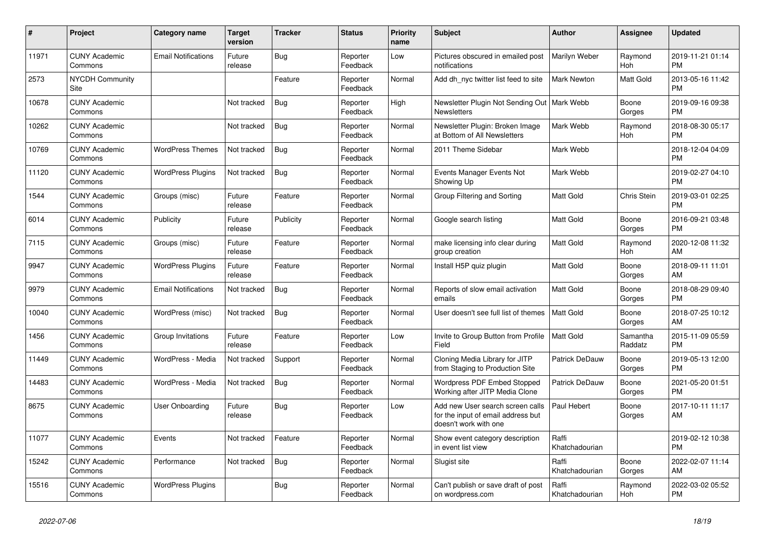| #     | <b>Project</b>                  | <b>Category name</b>       | <b>Target</b><br>version | <b>Tracker</b> | <b>Status</b>        | <b>Priority</b><br>name | <b>Subject</b>                                                                                  | <b>Author</b>           | Assignee            | <b>Updated</b>                |
|-------|---------------------------------|----------------------------|--------------------------|----------------|----------------------|-------------------------|-------------------------------------------------------------------------------------------------|-------------------------|---------------------|-------------------------------|
| 11971 | <b>CUNY Academic</b><br>Commons | <b>Email Notifications</b> | Future<br>release        | Bug            | Reporter<br>Feedback | Low                     | Pictures obscured in emailed post<br>notifications                                              | Marilyn Weber           | Raymond<br>Hoh      | 2019-11-21 01:14<br><b>PM</b> |
| 2573  | <b>NYCDH Community</b><br>Site  |                            |                          | Feature        | Reporter<br>Feedback | Normal                  | Add dh_nyc twitter list feed to site                                                            | <b>Mark Newton</b>      | Matt Gold           | 2013-05-16 11:42<br><b>PM</b> |
| 10678 | <b>CUNY Academic</b><br>Commons |                            | Not tracked              | Bug            | Reporter<br>Feedback | High                    | Newsletter Plugin Not Sending Out<br>Newsletters                                                | Mark Webb               | Boone<br>Gorges     | 2019-09-16 09:38<br><b>PM</b> |
| 10262 | <b>CUNY Academic</b><br>Commons |                            | Not tracked              | <b>Bug</b>     | Reporter<br>Feedback | Normal                  | Newsletter Plugin: Broken Image<br>at Bottom of All Newsletters                                 | Mark Webb               | Raymond<br>Hoh      | 2018-08-30 05:17<br><b>PM</b> |
| 10769 | <b>CUNY Academic</b><br>Commons | <b>WordPress Themes</b>    | Not tracked              | <b>Bug</b>     | Reporter<br>Feedback | Normal                  | 2011 Theme Sidebar                                                                              | Mark Webb               |                     | 2018-12-04 04:09<br><b>PM</b> |
| 11120 | <b>CUNY Academic</b><br>Commons | <b>WordPress Plugins</b>   | Not tracked              | Bug            | Reporter<br>Feedback | Normal                  | Events Manager Events Not<br>Showing Up                                                         | Mark Webb               |                     | 2019-02-27 04:10<br><b>PM</b> |
| 1544  | <b>CUNY Academic</b><br>Commons | Groups (misc)              | Future<br>release        | Feature        | Reporter<br>Feedback | Normal                  | Group Filtering and Sorting                                                                     | <b>Matt Gold</b>        | Chris Stein         | 2019-03-01 02:25<br><b>PM</b> |
| 6014  | <b>CUNY Academic</b><br>Commons | Publicity                  | Future<br>release        | Publicity      | Reporter<br>Feedback | Normal                  | Google search listing                                                                           | <b>Matt Gold</b>        | Boone<br>Gorges     | 2016-09-21 03:48<br><b>PM</b> |
| 7115  | <b>CUNY Academic</b><br>Commons | Groups (misc)              | Future<br>release        | Feature        | Reporter<br>Feedback | Normal                  | make licensing info clear during<br>group creation                                              | Matt Gold               | Raymond<br>Hoh      | 2020-12-08 11:32<br>AM        |
| 9947  | <b>CUNY Academic</b><br>Commons | <b>WordPress Plugins</b>   | Future<br>release        | Feature        | Reporter<br>Feedback | Normal                  | Install H5P quiz plugin                                                                         | Matt Gold               | Boone<br>Gorges     | 2018-09-11 11:01<br>AM        |
| 9979  | <b>CUNY Academic</b><br>Commons | <b>Email Notifications</b> | Not tracked              | Bug            | Reporter<br>Feedback | Normal                  | Reports of slow email activation<br>emails                                                      | <b>Matt Gold</b>        | Boone<br>Gorges     | 2018-08-29 09:40<br><b>PM</b> |
| 10040 | <b>CUNY Academic</b><br>Commons | WordPress (misc)           | Not tracked              | Bug            | Reporter<br>Feedback | Normal                  | User doesn't see full list of themes                                                            | Matt Gold               | Boone<br>Gorges     | 2018-07-25 10:12<br>AM        |
| 1456  | <b>CUNY Academic</b><br>Commons | Group Invitations          | Future<br>release        | Feature        | Reporter<br>Feedback | Low                     | Invite to Group Button from Profile<br>Field                                                    | <b>Matt Gold</b>        | Samantha<br>Raddatz | 2015-11-09 05:59<br><b>PM</b> |
| 11449 | <b>CUNY Academic</b><br>Commons | WordPress - Media          | Not tracked              | Support        | Reporter<br>Feedback | Normal                  | Cloning Media Library for JITP<br>from Staging to Production Site                               | <b>Patrick DeDauw</b>   | Boone<br>Gorges     | 2019-05-13 12:00<br><b>PM</b> |
| 14483 | <b>CUNY Academic</b><br>Commons | WordPress - Media          | Not tracked              | Bug            | Reporter<br>Feedback | Normal                  | Wordpress PDF Embed Stopped<br>Working after JITP Media Clone                                   | Patrick DeDauw          | Boone<br>Gorges     | 2021-05-20 01:51<br><b>PM</b> |
| 8675  | <b>CUNY Academic</b><br>Commons | User Onboarding            | Future<br>release        | Bug            | Reporter<br>Feedback | Low                     | Add new User search screen calls<br>for the input of email address but<br>doesn't work with one | Paul Hebert             | Boone<br>Gorges     | 2017-10-11 11:17<br>AM        |
| 11077 | <b>CUNY Academic</b><br>Commons | Events                     | Not tracked              | Feature        | Reporter<br>Feedback | Normal                  | Show event category description<br>in event list view                                           | Raffi<br>Khatchadourian |                     | 2019-02-12 10:38<br><b>PM</b> |
| 15242 | <b>CUNY Academic</b><br>Commons | Performance                | Not tracked              | <b>Bug</b>     | Reporter<br>Feedback | Normal                  | Slugist site                                                                                    | Raffi<br>Khatchadourian | Boone<br>Gorges     | 2022-02-07 11:14<br>AM        |
| 15516 | <b>CUNY Academic</b><br>Commons | <b>WordPress Plugins</b>   |                          | Bug            | Reporter<br>Feedback | Normal                  | Can't publish or save draft of post<br>on wordpress.com                                         | Raffi<br>Khatchadourian | Raymond<br>Hoh      | 2022-03-02 05:52<br><b>PM</b> |